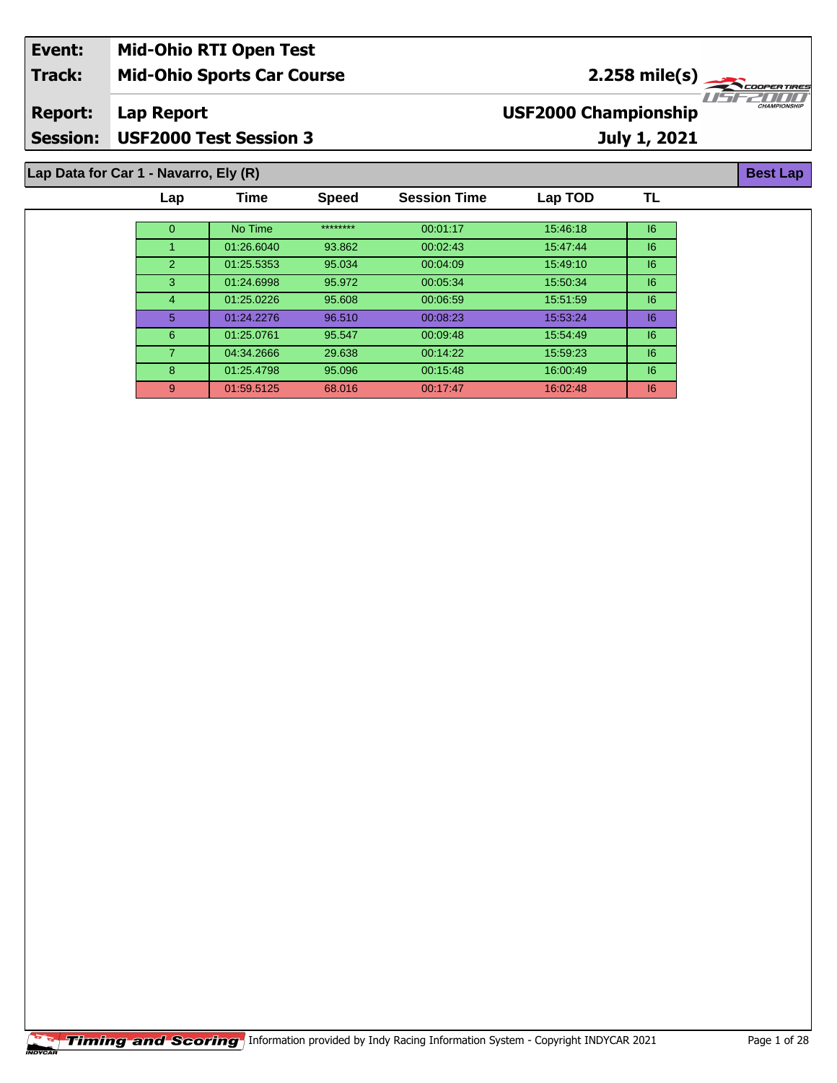| Event:          | <b>Mid-Ohio RTI Open Test</b>         |                                           |                     |
|-----------------|---------------------------------------|-------------------------------------------|---------------------|
| <b>Track:</b>   | <b>Mid-Ohio Sports Car Course</b>     | $2.258 \text{ mile(s)}$                   |                     |
| <b>Report:</b>  | Lap Report                            | 1156211111<br><b>USF2000 Championship</b> | <b>CHAMPIONSHIP</b> |
| <b>Session:</b> | <b>USF2000 Test Session 3</b>         | July 1, 2021                              |                     |
|                 |                                       |                                           |                     |
|                 | Lap Data for Car 1 - Navarro, Ely (R) |                                           | <b>Best Lap</b>     |

| Lap      | Time       | <b>Speed</b> | <b>Session Time</b> | Lap TOD  | TL |
|----------|------------|--------------|---------------------|----------|----|
|          |            |              |                     |          |    |
| $\Omega$ | No Time    | ********     | 00:01:17            | 15:46:18 | 6  |
|          | 01:26.6040 | 93.862       | 00:02:43            | 15:47:44 | 6  |
| 2        | 01:25.5353 | 95.034       | 00:04:09            | 15:49:10 | 6  |
| 3        | 01:24.6998 | 95.972       | 00:05:34            | 15:50:34 | 6  |
| 4        | 01:25.0226 | 95.608       | 00:06:59            | 15:51:59 | 16 |
| 5        | 01:24.2276 | 96.510       | 00:08:23            | 15:53:24 | 16 |
| 6        | 01:25.0761 | 95.547       | 00:09:48            | 15:54:49 | 6  |
|          | 04:34.2666 | 29.638       | 00:14:22            | 15:59:23 | 16 |
| 8        | 01:25.4798 | 95.096       | 00:15:48            | 16:00:49 | 6  |
| 9        | 01:59.5125 | 68.016       | 00:17:47            | 16:02:48 | 6  |
|          |            |              |                     |          |    |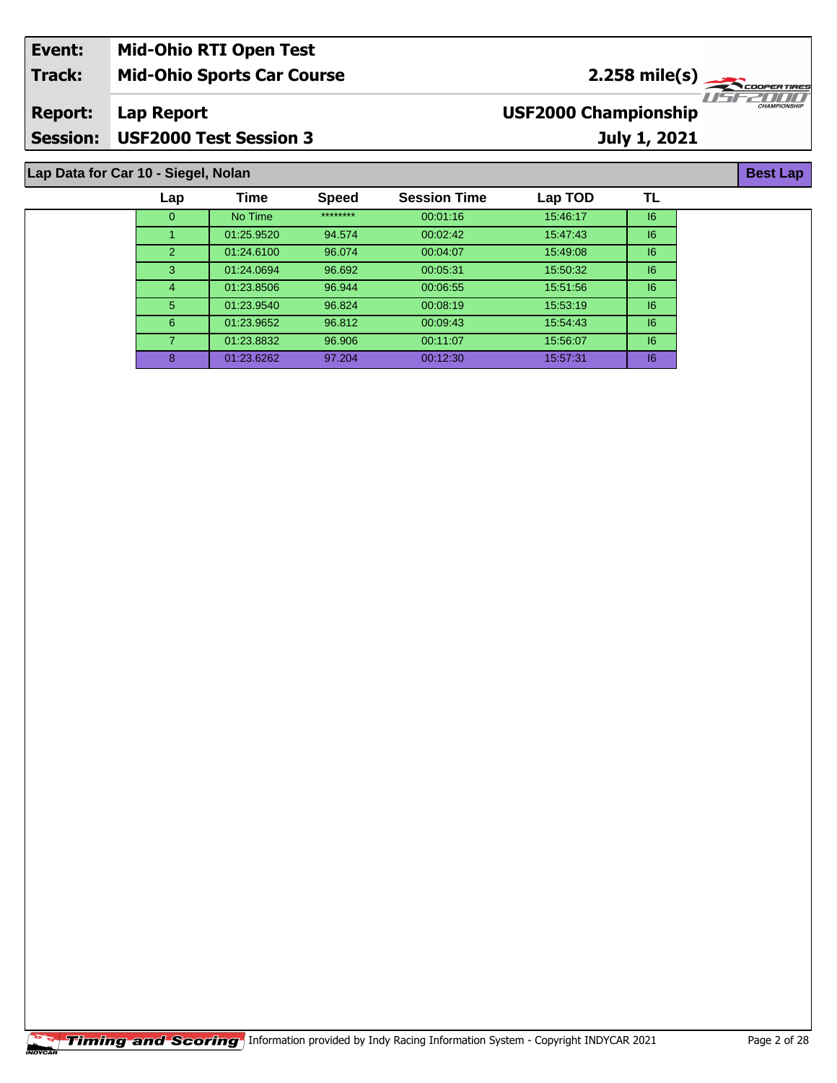| Event:          | <b>Mid-Ohio RTI Open Test</b>       |                                         |                     |
|-----------------|-------------------------------------|-----------------------------------------|---------------------|
| <b>Track:</b>   | <b>Mid-Ohio Sports Car Course</b>   | $2.258 \text{ mile(s)}$                 |                     |
| <b>Report:</b>  | Lap Report                          | IISE2NIN<br><b>USF2000 Championship</b> | <b>CHAMPIONSHIP</b> |
| <b>Session:</b> | <b>USF2000 Test Session 3</b>       | July 1, 2021                            |                     |
|                 |                                     |                                         |                     |
|                 | Lap Data for Car 10 - Siegel, Nolan |                                         | <b>Best Lap</b>     |

| Lap      | Time       | <b>Speed</b> | <b>Session Time</b> | Lap TOD  | TL |
|----------|------------|--------------|---------------------|----------|----|
| $\Omega$ | No Time    | ********     | 00:01:16            | 15:46:17 | 6  |
|          | 01:25.9520 | 94.574       | 00:02:42            | 15:47:43 | 6  |
| 2        | 01:24.6100 | 96.074       | 00:04:07            | 15:49:08 | 6  |
| 3        | 01:24.0694 | 96.692       | 00:05:31            | 15:50:32 | 6  |
| 4        | 01:23.8506 | 96.944       | 00:06:55            | 15:51:56 | 6  |
| 5        | 01:23.9540 | 96.824       | 00:08:19            | 15:53:19 | 6  |
| 6        | 01:23.9652 | 96.812       | 00:09:43            | 15:54:43 | 6  |
|          | 01:23.8832 | 96.906       | 00:11:07            | 15:56:07 | 6  |
| 8        | 01:23.6262 | 97.204       | 00:12:30            | 15:57:31 | 6  |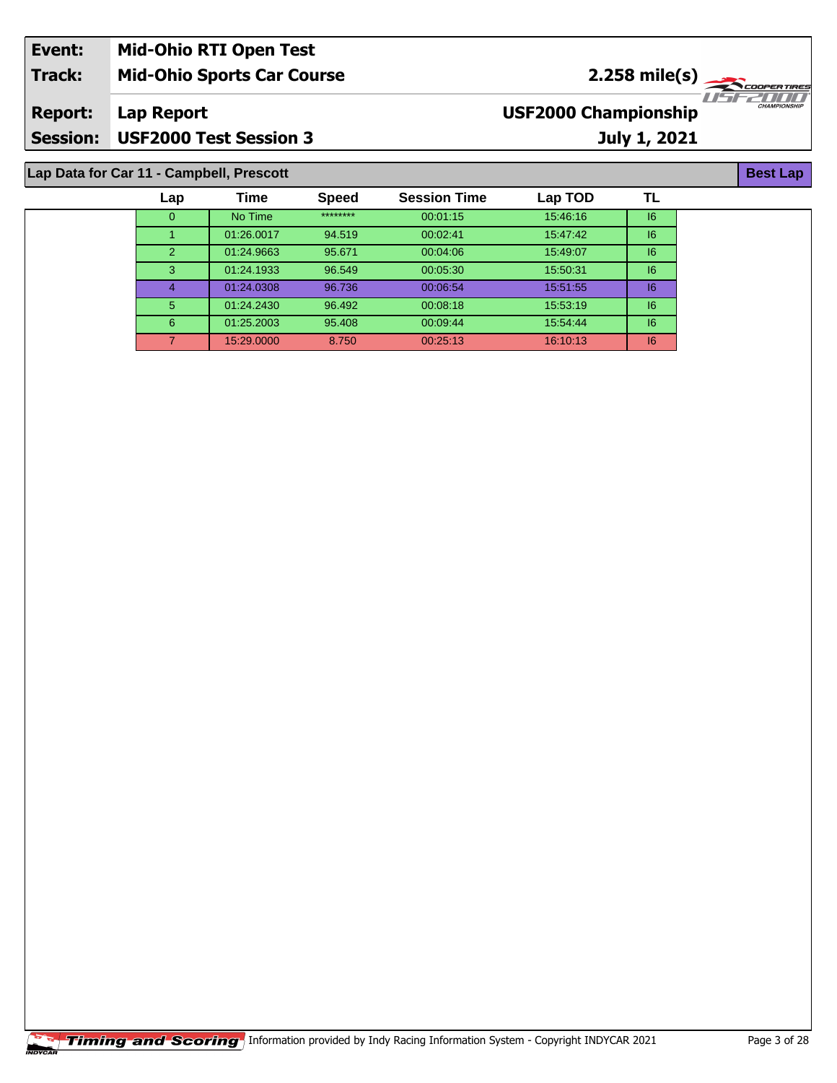| Event:                                   | <b>Mid-Ohio RTI Open Test</b>     |                             |                     |  |  |
|------------------------------------------|-----------------------------------|-----------------------------|---------------------|--|--|
| <b>Track:</b>                            | <b>Mid-Ohio Sports Car Course</b> | $2.258$ mile(s)             |                     |  |  |
| <b>Report:</b>                           | Lap Report                        | <b>USF2000 Championship</b> | <b>CHAMPIONSHIP</b> |  |  |
| <b>Session:</b>                          | <b>USF2000 Test Session 3</b>     | July 1, 2021                |                     |  |  |
| Lap Data for Car 11 - Campbell, Prescott |                                   |                             |                     |  |  |

| $\mathsf{Lap}$ | Time       | <b>Speed</b> | <b>Session Time</b> | Lap TOD  | TL. |
|----------------|------------|--------------|---------------------|----------|-----|
| 0              | No Time    | ********     | 00:01:15            | 15:46:16 | 16  |
|                | 01:26.0017 | 94.519       | 00:02:41            | 15:47:42 | 6   |
| $\mathcal{P}$  | 01:24.9663 | 95.671       | 00:04:06            | 15:49:07 | 6   |
| 3              | 01:24.1933 | 96.549       | 00:05:30            | 15:50:31 | 6   |
| 4              | 01:24.0308 | 96.736       | 00:06:54            | 15:51:55 | 16  |
| 5              | 01:24.2430 | 96.492       | 00:08:18            | 15:53:19 | 16  |
| 6              | 01:25.2003 | 95.408       | 00:09:44            | 15:54:44 | 16  |
|                | 15:29.0000 | 8.750        | 00:25:13            | 16:10:13 | 16  |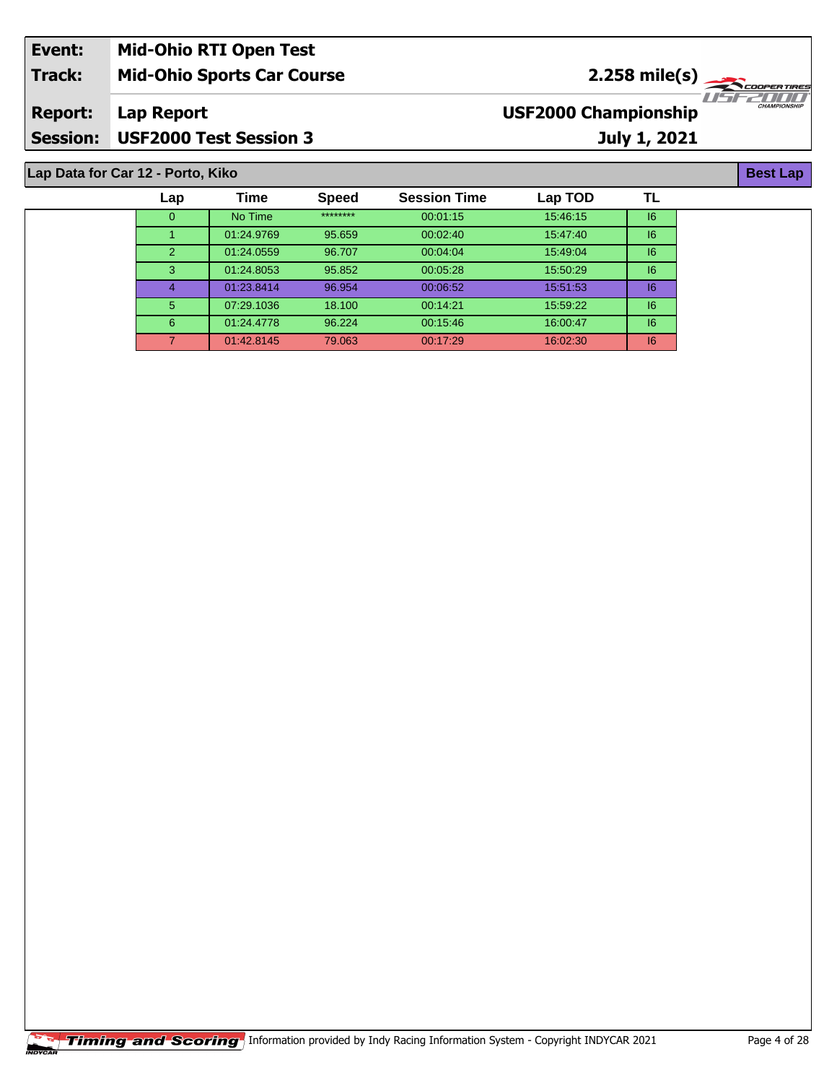| Event:          | <b>Mid-Ohio RTI Open Test</b>     |                             |                     |
|-----------------|-----------------------------------|-----------------------------|---------------------|
| <b>Track:</b>   | <b>Mid-Ohio Sports Car Course</b> | $2.258 \text{ mile(s)}$     |                     |
| <b>Report:</b>  | Lap Report                        | <b>USF2000 Championship</b> | <b>CHAMPIONSHIP</b> |
| <b>Session:</b> | <b>USF2000 Test Session 3</b>     | July 1, 2021                |                     |
|                 |                                   |                             |                     |
|                 | Lap Data for Car 12 - Porto, Kiko |                             | <b>Best Lap</b>     |

**Lap Data for Car 12 - Porto, Kiko**

| Lap          | <b>Time</b> | <b>Speed</b> | <b>Session Time</b> | Lap TOD  | ΤL |
|--------------|-------------|--------------|---------------------|----------|----|
| $\mathbf{0}$ | No Time     | ********     | 00:01:15            | 15:46:15 | 16 |
|              | 01:24.9769  | 95.659       | 00:02:40            | 15:47:40 | 6  |
| 2            | 01:24.0559  | 96.707       | 00:04:04            | 15:49:04 | 6  |
| 3            | 01:24.8053  | 95.852       | 00:05:28            | 15:50:29 | 6  |
| 4            | 01:23.8414  | 96.954       | 00:06:52            | 15:51:53 | 6  |
| 5            | 07:29.1036  | 18.100       | 00:14:21            | 15:59:22 | 6  |
| 6            | 01:24.4778  | 96.224       | 00:15:46            | 16:00:47 | 6  |
| 7            | 01:42.8145  | 79.063       | 00:17:29            | 16:02:30 | 6  |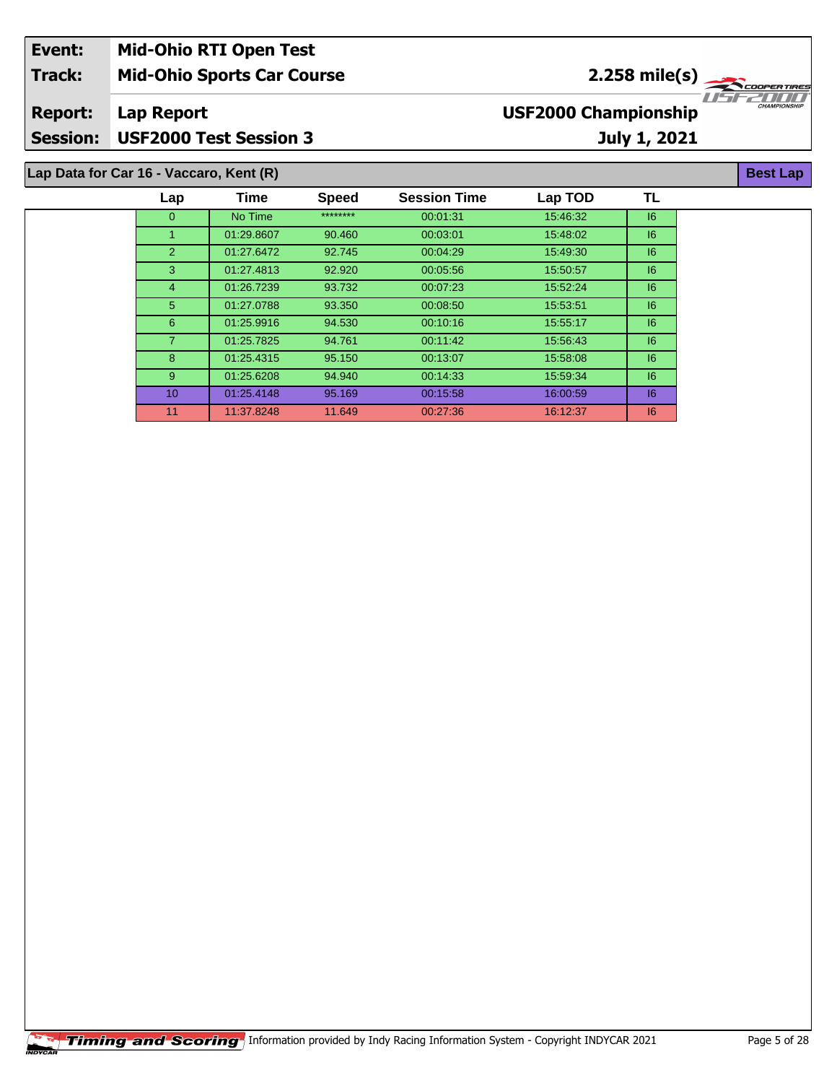| Event:                                  | <b>Mid-Ohio RTI Open Test</b>     |                                                |                     |  |  |
|-----------------------------------------|-----------------------------------|------------------------------------------------|---------------------|--|--|
| <b>Track:</b>                           | <b>Mid-Ohio Sports Car Course</b> | $2.258$ mile(s) $\frac{1}{2.258 \text{ cm}^2}$ |                     |  |  |
| <b>Report:</b>                          | Lap Report                        | <b>USF2000 Championship</b>                    | <b>CHAMPIONSHIP</b> |  |  |
| <b>Session:</b>                         | USF2000 Test Session 3            | July 1, 2021                                   |                     |  |  |
| Lap Data for Car 16 - Vaccaro, Kent (R) |                                   |                                                |                     |  |  |

| Lap            | Time       | <b>Speed</b> | <b>Session Time</b> | Lap TOD  | TL |
|----------------|------------|--------------|---------------------|----------|----|
| $\Omega$       | No Time    | ********     | 00:01:31            | 15:46:32 | 16 |
|                | 01:29.8607 | 90.460       | 00:03:01            | 15:48:02 | 16 |
| $\overline{2}$ | 01:27.6472 | 92.745       | 00:04:29            | 15:49:30 | 16 |
| 3              | 01:27.4813 | 92.920       | 00:05:56            | 15:50:57 | 16 |
| 4              | 01:26.7239 | 93.732       | 00:07:23            | 15:52:24 | 16 |
| 5              | 01:27.0788 | 93.350       | 00:08:50            | 15:53:51 | 16 |
| 6              | 01:25.9916 | 94.530       | 00:10:16            | 15:55:17 | 16 |
| 7.             | 01:25.7825 | 94.761       | 00:11:42            | 15:56:43 | 16 |
| 8              | 01:25.4315 | 95.150       | 00:13:07            | 15:58:08 | 16 |
| 9              | 01:25.6208 | 94.940       | 00:14:33            | 15:59:34 | 16 |
| 10             | 01:25.4148 | 95.169       | 00:15:58            | 16:00:59 | 16 |
| 11             | 11:37.8248 | 11.649       | 00:27:36            | 16:12:37 | 6  |
|                |            |              |                     |          |    |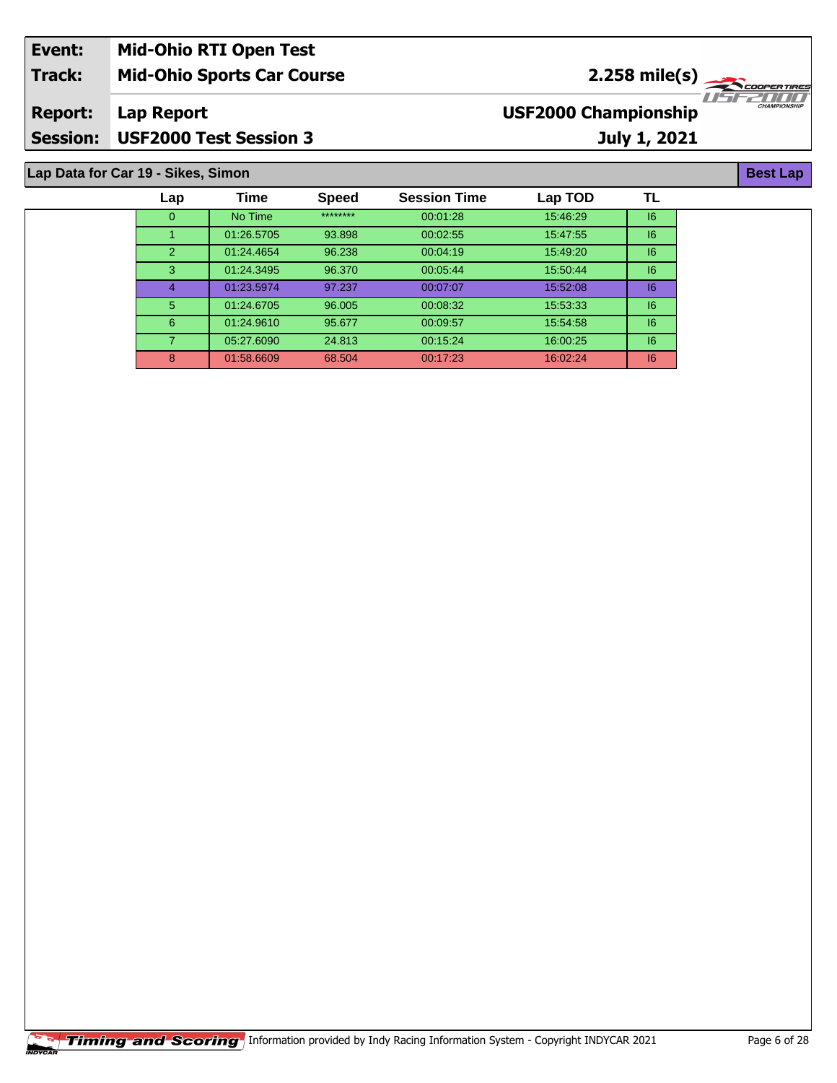| Event:          | <b>Mid-Ohio RTI Open Test</b>     |                                         |                     |
|-----------------|-----------------------------------|-----------------------------------------|---------------------|
| Track:          | <b>Mid-Ohio Sports Car Course</b> | $2.258$ mile(s) $\leftarrow$            |                     |
| <b>Report:</b>  | Lap Report                        | $T = -T$<br><b>USF2000 Championship</b> | <b>CHAMPIONSHIP</b> |
| <b>Session:</b> | <b>USF2000 Test Session 3</b>     | <b>July 1, 2021</b>                     |                     |

**Lap Data for Car 19 - Sikes, Simon**

| Lap            | Time       | <b>Speed</b> | <b>Session Time</b> | Lap TOD  | TL |
|----------------|------------|--------------|---------------------|----------|----|
| $\Omega$       | No Time    | ********     | 00:01:28            | 15:46:29 | 6  |
|                | 01:26.5705 | 93.898       | 00:02:55            | 15:47:55 | 6  |
| $\overline{2}$ | 01:24.4654 | 96.238       | 00:04:19            | 15:49:20 | 6  |
| 3              | 01:24.3495 | 96.370       | 00:05:44            | 15:50:44 | 6  |
| 4              | 01:23.5974 | 97.237       | 00:07:07            | 15:52:08 | 6  |
| 5              | 01:24.6705 | 96.005       | 00:08:32            | 15:53:33 | 6  |
| 6              | 01:24.9610 | 95.677       | 00:09:57            | 15:54:58 | 6  |
| 7.             | 05:27.6090 | 24.813       | 00:15:24            | 16:00:25 | 6  |
| 8              | 01:58.6609 | 68.504       | 00:17:23            | 16:02:24 | 6  |

**Best Lap**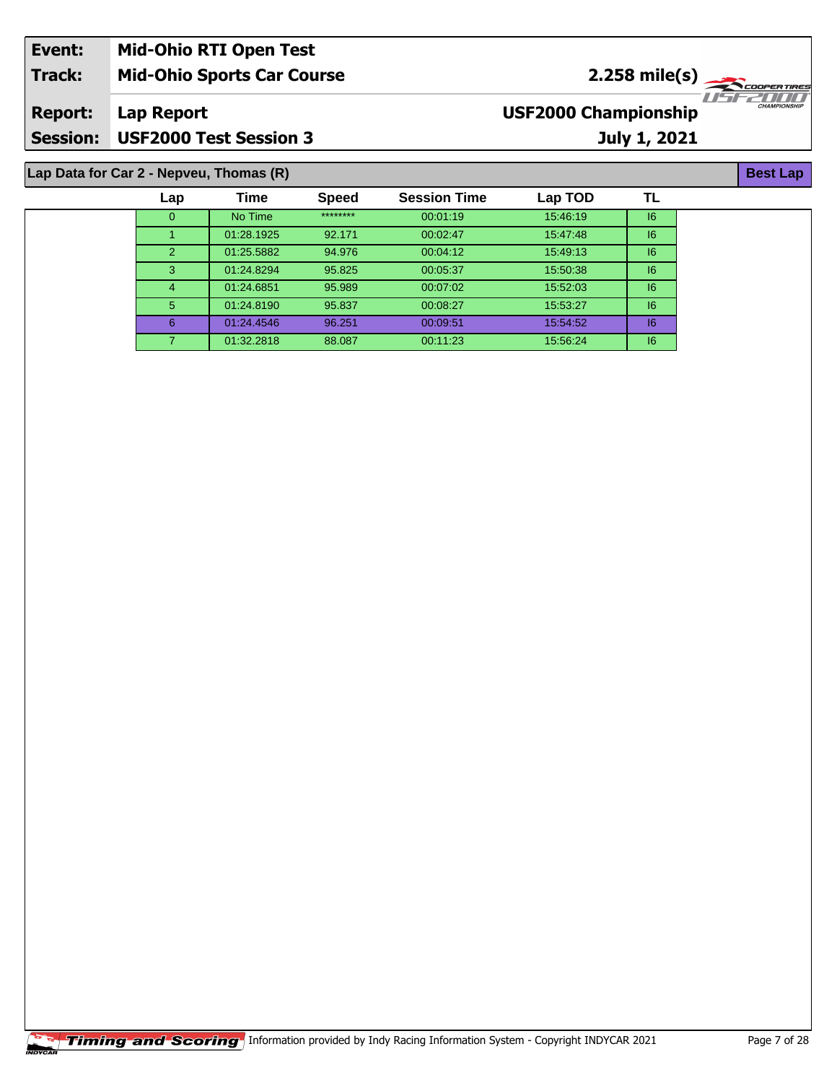| Event:                                  | <b>Mid-Ohio RTI Open Test</b>     |      |              |                     |                             |              |                         |
|-----------------------------------------|-----------------------------------|------|--------------|---------------------|-----------------------------|--------------|-------------------------|
| <b>Track:</b>                           | <b>Mid-Ohio Sports Car Course</b> |      |              |                     |                             |              | $2.258 \text{ mile(s)}$ |
| <b>Report:</b>                          | Lap Report                        |      |              |                     | <b>USF2000 Championship</b> |              | <b>CHAMPIONSHIP</b>     |
| <b>Session:</b>                         | <b>USF2000 Test Session 3</b>     |      |              |                     |                             | July 1, 2021 |                         |
| Lap Data for Car 2 - Nepveu, Thomas (R) |                                   |      |              |                     |                             |              |                         |
|                                         | $\mathsf{Lap}$                    | Time | <b>Speed</b> | <b>Session Time</b> | Lap TOD                     | ΤL           |                         |

 No Time \*\*\*\*\*\*\*\* 00:01:19 15:46:19 I6 01:28.1925 92.171 00:02:47 15:47:48 I6 01:25.5882 94.976 00:04:12 15:49:13 I6 01:24.8294 95.825 00:05:37 15:50:38 I6 01:24.6851 95.989 00:07:02 15:52:03 I6 01:24.8190 95.837 00:08:27 15:53:27 I6 01:24.4546 96.251 00:09:51 15:54:52 I6 01:32.2818 88.087 00:11:23 15:56:24 I6

|  |  | <b>Timing and Scoring</b> Information provided by Indy Racing Information System - Copyright INDYCAR 2021 | Page 7 of 28 |
|--|--|-----------------------------------------------------------------------------------------------------------|--------------|
|--|--|-----------------------------------------------------------------------------------------------------------|--------------|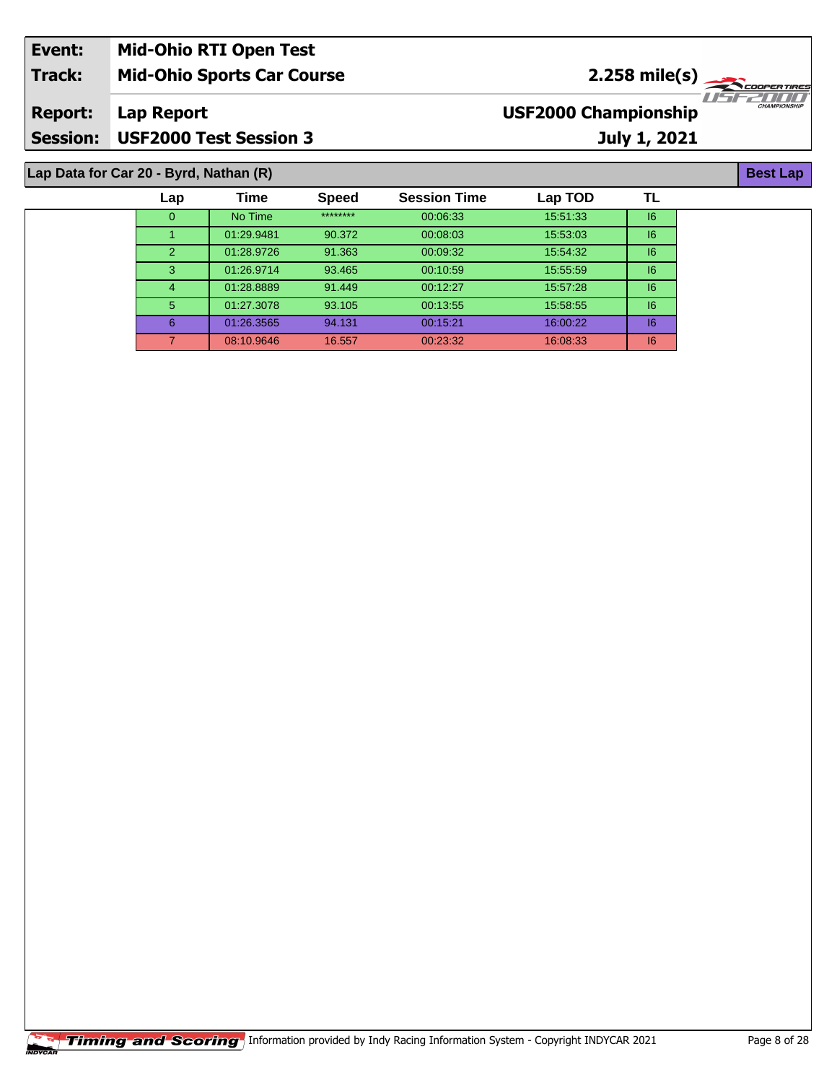| Event:                                 | <b>Mid-Ohio RTI Open Test</b>     |                                                    |  |  |  |  |  |
|----------------------------------------|-----------------------------------|----------------------------------------------------|--|--|--|--|--|
| <b>Track:</b>                          | <b>Mid-Ohio Sports Car Course</b> | $2.258 \text{ mile(s)}$                            |  |  |  |  |  |
| <b>Report:</b>                         | Lap Report                        | <b>CHAMPIONSHIP</b><br><b>USF2000 Championship</b> |  |  |  |  |  |
|                                        | Session: USF2000 Test Session 3   | July 1, 2021                                       |  |  |  |  |  |
| Lap Data for Car 20 - Byrd, Nathan (R) |                                   |                                                    |  |  |  |  |  |

| Lap            | Time       | <b>Speed</b> | <b>Session Time</b> | Lap TOD  | ΤL |
|----------------|------------|--------------|---------------------|----------|----|
| 0              | No Time    | ********     | 00:06:33            | 15:51:33 | 6  |
|                | 01:29.9481 | 90.372       | 00:08:03            | 15:53:03 | 6  |
| $\overline{2}$ | 01:28.9726 | 91.363       | 00:09:32            | 15:54:32 | 6  |
| 3              | 01:26.9714 | 93.465       | 00:10:59            | 15:55:59 | 16 |
| 4              | 01:28.8889 | 91.449       | 00:12:27            | 15:57:28 | 16 |
| $5^{\circ}$    | 01:27.3078 | 93.105       | 00:13:55            | 15:58:55 | 16 |
| 6              | 01:26.3565 | 94.131       | 00:15:21            | 16:00:22 | 16 |
|                | 08:10.9646 | 16.557       | 00:23:32            | 16:08:33 | 6  |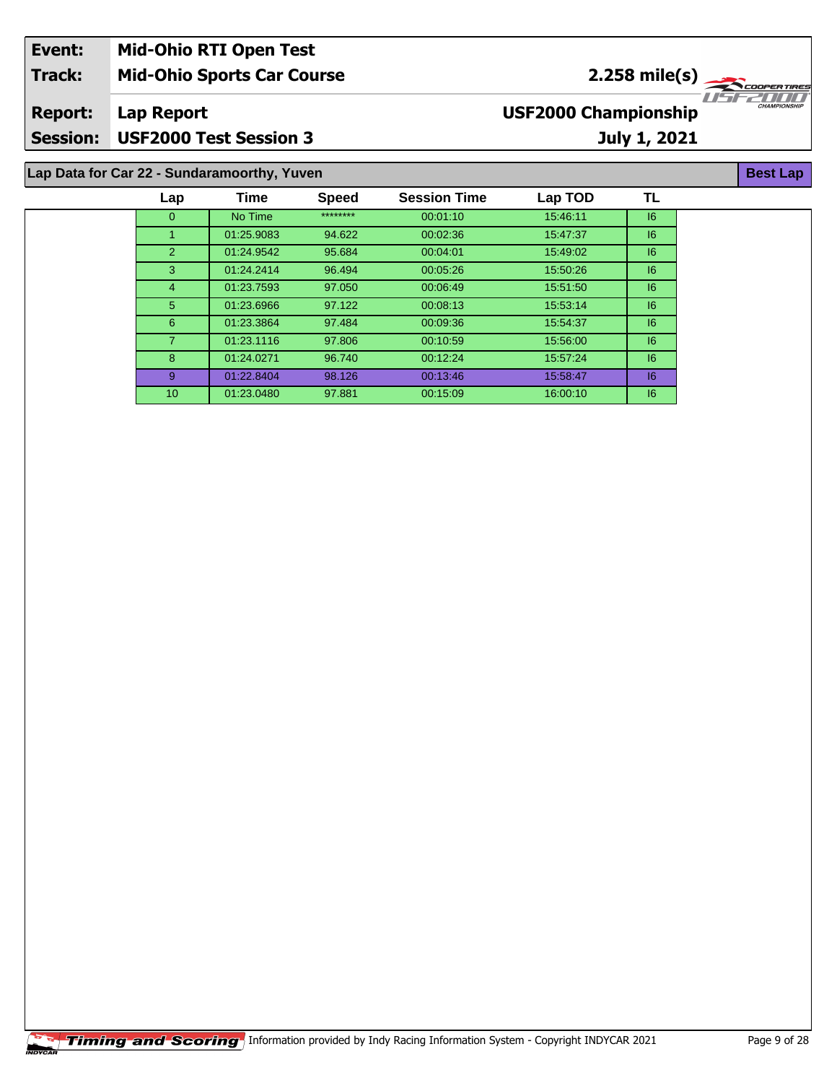| Event:                                      | <b>Mid-Ohio RTI Open Test</b>     |                             |                                |  |  |  |
|---------------------------------------------|-----------------------------------|-----------------------------|--------------------------------|--|--|--|
| <b>Track:</b>                               | <b>Mid-Ohio Sports Car Course</b> | $2.258$ mile(s)             |                                |  |  |  |
| <b>Report:</b>                              | Lap Report                        | <b>USF2000 Championship</b> | TEZTITT<br><b>CHAMPIONSHII</b> |  |  |  |
| <b>Session:</b>                             | <b>USF2000 Test Session 3</b>     | July 1, 2021                |                                |  |  |  |
| Lap Data for Car 22 - Sundaramoorthy, Yuven |                                   |                             |                                |  |  |  |

|                 | <b>Time</b> | Speed    | <b>Session Time</b> | Lap TOD  | TL |
|-----------------|-------------|----------|---------------------|----------|----|
| 0               | No Time     | ******** | 00:01:10            | 15:46:11 | 6  |
| 1               | 01:25.9083  | 94.622   | 00:02:36            | 15:47:37 | 6  |
| $\overline{2}$  | 01:24.9542  | 95.684   | 00:04:01            | 15:49:02 | 6  |
| 3               | 01:24.2414  | 96.494   | 00:05:26            | 15:50:26 | 6  |
| 4               | 01:23.7593  | 97.050   | 00:06:49            | 15:51:50 | 6  |
| 5               | 01:23.6966  | 97.122   | 00:08:13            | 15:53:14 | 16 |
| 6               | 01:23.3864  | 97.484   | 00:09:36            | 15:54:37 | 6  |
| 7               | 01:23.1116  | 97.806   | 00:10:59            | 15:56:00 | 6  |
| 8               | 01:24.0271  | 96.740   | 00.12.24            | 15:57:24 | 6  |
| 9               | 01:22.8404  | 98.126   | 00:13:46            | 15:58:47 | 16 |
| 10 <sup>°</sup> | 01:23.0480  | 97.881   | 00:15:09            | 16:00:10 | 6  |
|                 | Lap         |          |                     |          |    |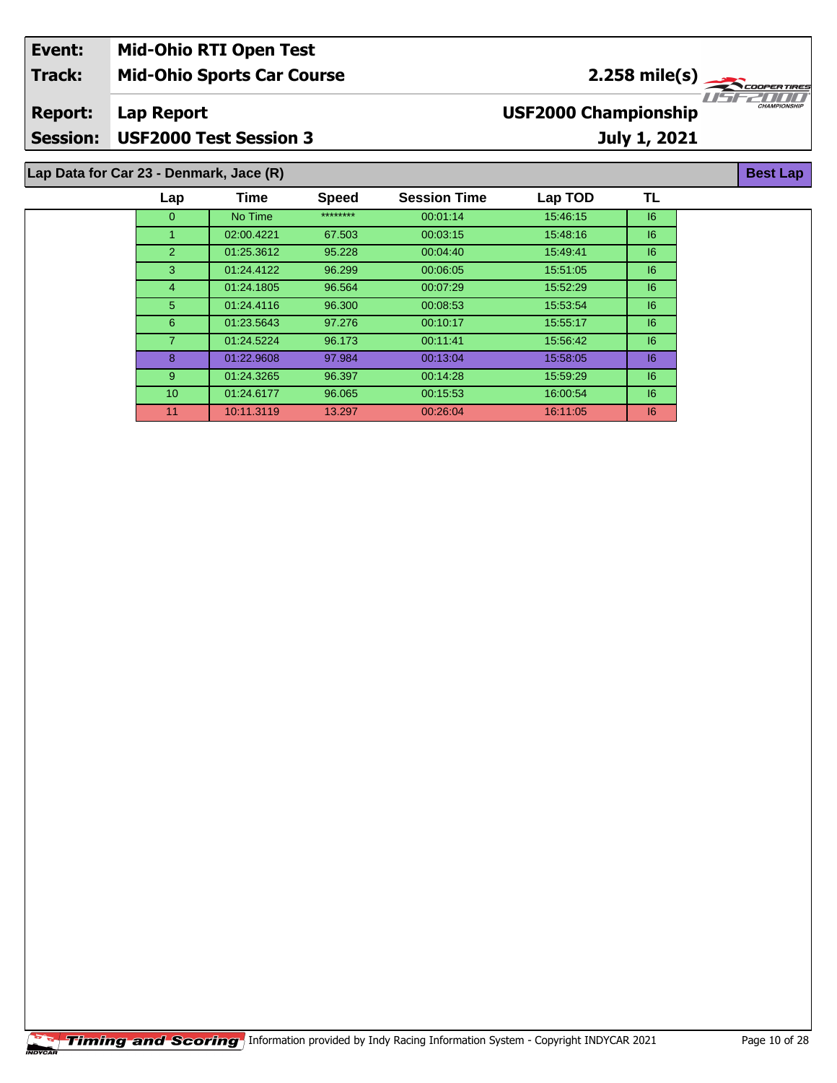| Event:          | <b>Mid-Ohio RTI Open Test</b>           |      |              |                     |                             |                             |                                    |
|-----------------|-----------------------------------------|------|--------------|---------------------|-----------------------------|-----------------------------|------------------------------------|
| <b>Track:</b>   | <b>Mid-Ohio Sports Car Course</b>       |      |              |                     |                             | 2.258 mile(s) $\rightarrow$ | <b>COOPERTIRES</b>                 |
| <b>Report:</b>  | Lap Report                              |      |              |                     | <b>USF2000 Championship</b> |                             | 11512211111<br><b>CHAMPIONSHIP</b> |
| <b>Session:</b> | <b>USF2000 Test Session 3</b>           |      |              |                     |                             | July 1, 2021                |                                    |
|                 | Lap Data for Car 23 - Denmark, Jace (R) |      |              |                     |                             |                             | <b>Best Lap</b>                    |
|                 | Lap                                     | Time | <b>Speed</b> | <b>Session Time</b> | Lap TOD                     | TL                          |                                    |

| ∟aµ             | пше        | opeeu    | JESSIUII TIIIE | Lap TUD  | . . |
|-----------------|------------|----------|----------------|----------|-----|
| 0               | No Time    | ******** | 00:01:14       | 15:46:15 | 16  |
| 1               | 02:00.4221 | 67.503   | 00:03:15       | 15:48:16 | 6   |
| 2               | 01:25.3612 | 95.228   | 00:04:40       | 15:49:41 | 16  |
| 3               | 01:24.4122 | 96.299   | 00:06:05       | 15:51:05 | 16  |
| $\overline{4}$  | 01:24.1805 | 96.564   | 00:07:29       | 15:52:29 | 16  |
| 5               | 01:24.4116 | 96.300   | 00:08:53       | 15.53.54 | 6   |
| 6               | 01:23.5643 | 97.276   | 00:10:17       | 15:55:17 | 6   |
| $\overline{7}$  | 01:24.5224 | 96.173   | 00:11:41       | 15:56:42 | 16  |
| 8               | 01:22.9608 | 97.984   | 00:13:04       | 15:58:05 | 16  |
| 9               | 01:24.3265 | 96.397   | 00:14:28       | 15:59:29 | 16  |
| 10 <sup>°</sup> | 01:24.6177 | 96.065   | 00:15:53       | 16:00:54 | 16  |
| 11              | 10:11.3119 | 13.297   | 00:26:04       | 16:11:05 | 16  |
|                 |            |          |                |          |     |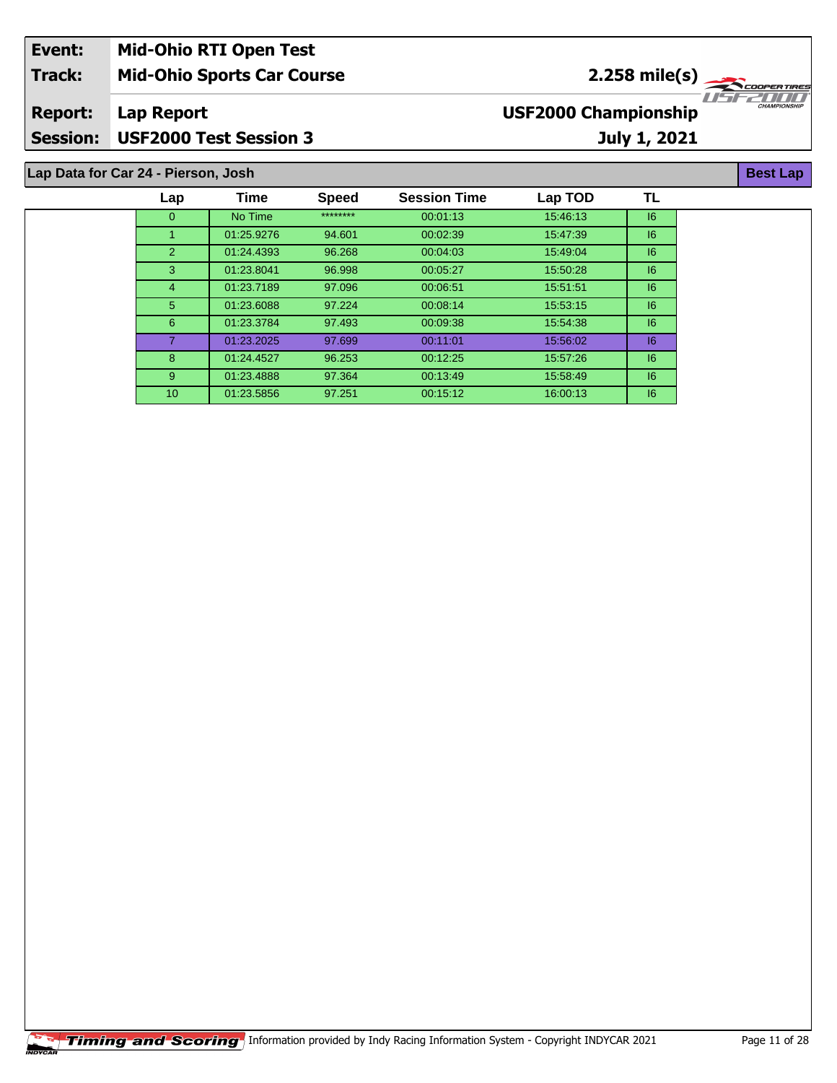| Event:                              | <b>Mid-Ohio RTI Open Test</b>     |                             |                                 |  |  |  |  |
|-------------------------------------|-----------------------------------|-----------------------------|---------------------------------|--|--|--|--|
| <b>Track:</b>                       | <b>Mid-Ohio Sports Car Course</b> | $2.258 \text{ mile(s)}$     |                                 |  |  |  |  |
| <b>Report:</b>                      | Lap Report                        | <b>USF2000 Championship</b> | IISE2000<br><b>CHAMPIONSHIP</b> |  |  |  |  |
| <b>Session:</b>                     | <b>USF2000 Test Session 3</b>     | <b>July 1, 2021</b>         |                                 |  |  |  |  |
|                                     |                                   |                             |                                 |  |  |  |  |
| Lap Data for Car 24 - Pierson, Josh |                                   |                             |                                 |  |  |  |  |

| Lap            | Time       | <b>Speed</b> | <b>Session Time</b> | Lap TOD  | TL |
|----------------|------------|--------------|---------------------|----------|----|
| $\mathbf{0}$   | No Time    | ********     | 00:01:13            | 15:46:13 | 6  |
|                | 01:25.9276 | 94.601       | 00:02:39            | 15:47:39 | 6  |
| $\overline{2}$ | 01:24.4393 | 96.268       | 00:04:03            | 15:49:04 | 6  |
| 3              | 01:23.8041 | 96.998       | 00:05:27            | 15:50:28 | 6  |
| 4              | 01:23.7189 | 97.096       | 00:06:51            | 15:51:51 | 6  |
| 5              | 01:23.6088 | 97.224       | 00:08:14            | 15:53:15 | 6  |
| 6              | 01:23.3784 | 97.493       | 00:09:38            | 15:54:38 | 6  |
| $\overline{7}$ | 01:23.2025 | 97.699       | 00:11:01            | 15:56:02 | 6  |
| 8              | 01:24.4527 | 96.253       | 00:12:25            | 15:57:26 | 6  |
| 9              | 01:23.4888 | 97.364       | 00:13:49            | 15:58:49 | 6  |
| 10             | 01:23.5856 | 97.251       | 00:15:12            | 16:00:13 | 16 |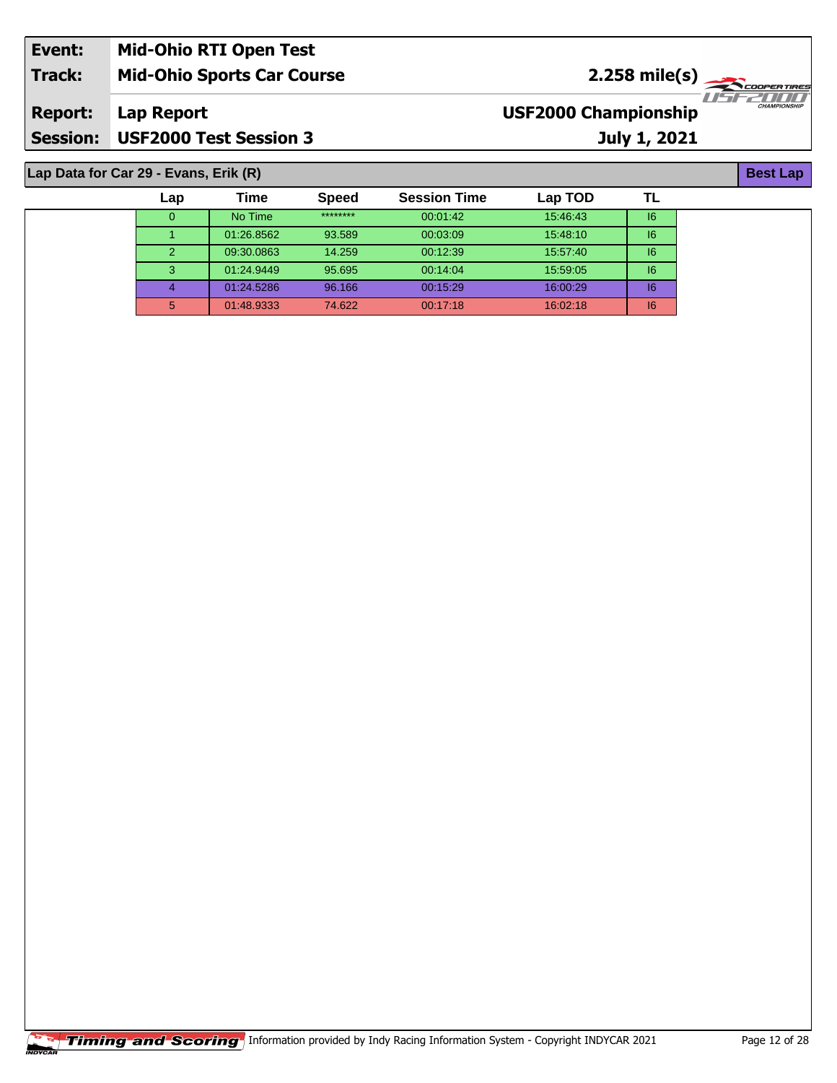| Event:                                | <b>Mid-Ohio RTI Open Test</b>     |                             |              |  |  |  |  |
|---------------------------------------|-----------------------------------|-----------------------------|--------------|--|--|--|--|
| <b>Track:</b>                         | <b>Mid-Ohio Sports Car Course</b> | $2.258 \text{ mile(s)}$     |              |  |  |  |  |
| <b>Report:</b>                        | Lap Report                        | <b>USF2000 Championship</b> | CHAMPIONSHIP |  |  |  |  |
| <b>Session:</b>                       | USF2000 Test Session 3            | July 1, 2021                |              |  |  |  |  |
|                                       |                                   |                             |              |  |  |  |  |
| Lap Data for Car 29 - Evans, Erik (R) |                                   |                             |              |  |  |  |  |

**Lap Data for Car 29 - Evans, Erik (R)**

| Lap           | Time       | <b>Speed</b> | <b>Session Time</b> | Lap TOD  |    |
|---------------|------------|--------------|---------------------|----------|----|
| 0             | No Time    | ********     | 00:01:42            | 15:46:43 | 16 |
|               | 01:26.8562 | 93.589       | 00:03:09            | 15:48:10 | 16 |
| $\mathcal{P}$ | 09:30.0863 | 14.259       | 00:12:39            | 15:57:40 | 16 |
| 3             | 01:24.9449 | 95.695       | 00:14:04            | 15:59:05 | 16 |
|               | 01:24.5286 | 96.166       | 00:15:29            | 16:00:29 | 16 |
| 5             | 01:48.9333 | 74.622       | 00:17:18            | 16:02:18 | 16 |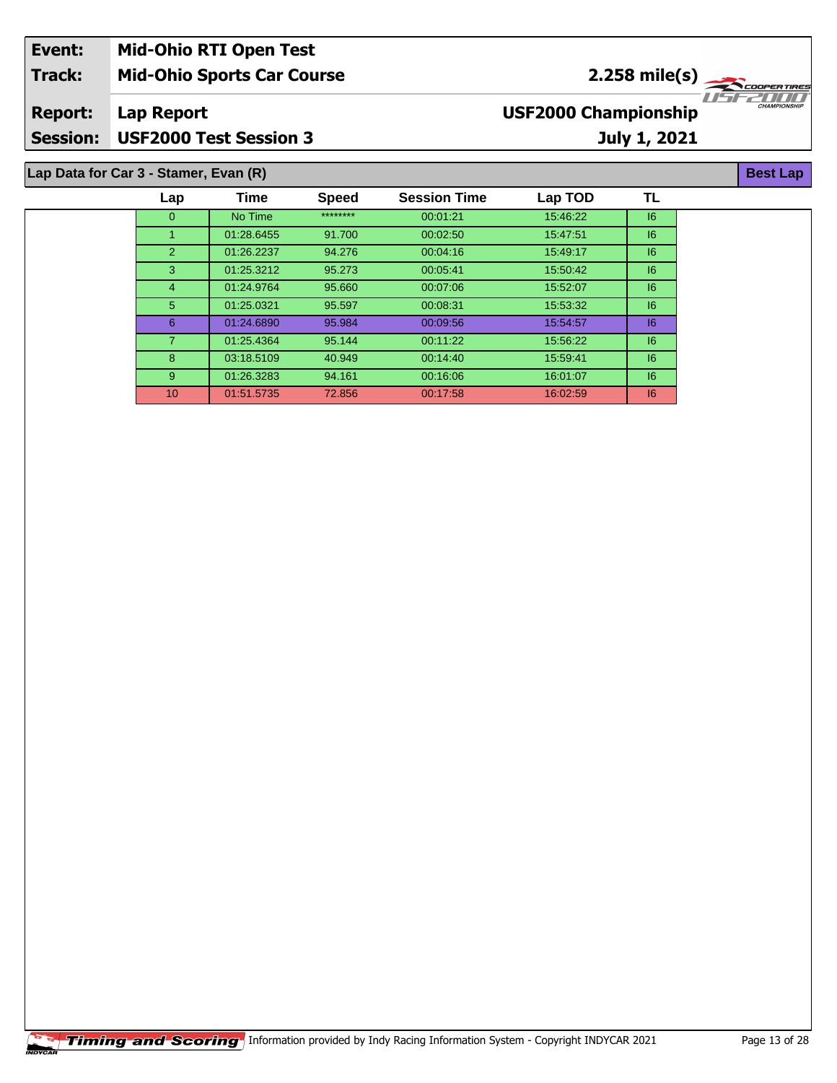| Event:         | <b>Mid-Ohio RTI Open Test</b>         |                             |                     |
|----------------|---------------------------------------|-----------------------------|---------------------|
| <b>Track:</b>  | <b>Mid-Ohio Sports Car Course</b>     | $2.258 \text{ mile(s)}$     |                     |
| <b>Report:</b> | Lap Report                            | <b>USF2000 Championship</b> | <b>CHAMPIONSHIP</b> |
|                | Session: USF2000 Test Session 3       | July 1, 2021                |                     |
|                |                                       |                             |                     |
|                | Lap Data for Car 3 - Stamer, Evan (R) |                             | <b>Best Lap</b>     |

| Lap            | Time       | <b>Speed</b> | <b>Session Time</b> | Lap TOD  | TL |  |
|----------------|------------|--------------|---------------------|----------|----|--|
| $\mathbf{0}$   | No Time    | ********     | 00:01:21            | 15:46:22 | 6  |  |
| 1              | 01:28.6455 | 91.700       | 00:02:50            | 15:47:51 | 6  |  |
| $\overline{2}$ | 01:26.2237 | 94.276       | 00:04:16            | 15:49:17 | 6  |  |
| 3              | 01:25.3212 | 95.273       | 00:05:41            | 15:50:42 | 6  |  |
| 4              | 01:24.9764 | 95.660       | 00:07:06            | 15:52:07 | 6  |  |
| 5              | 01:25.0321 | 95.597       | 00:08:31            | 15:53:32 | 6  |  |
| 6              | 01:24.6890 | 95.984       | 00:09:56            | 15:54:57 | 6  |  |
| 7              | 01:25.4364 | 95.144       | 00:11:22            | 15:56:22 | 6  |  |
| 8              | 03:18.5109 | 40.949       | 00:14:40            | 15:59:41 | 6  |  |
| 9              | 01:26.3283 | 94.161       | 00:16:06            | 16:01:07 | 6  |  |
| 10             | 01:51.5735 | 72.856       | 00:17:58            | 16:02:59 | 6  |  |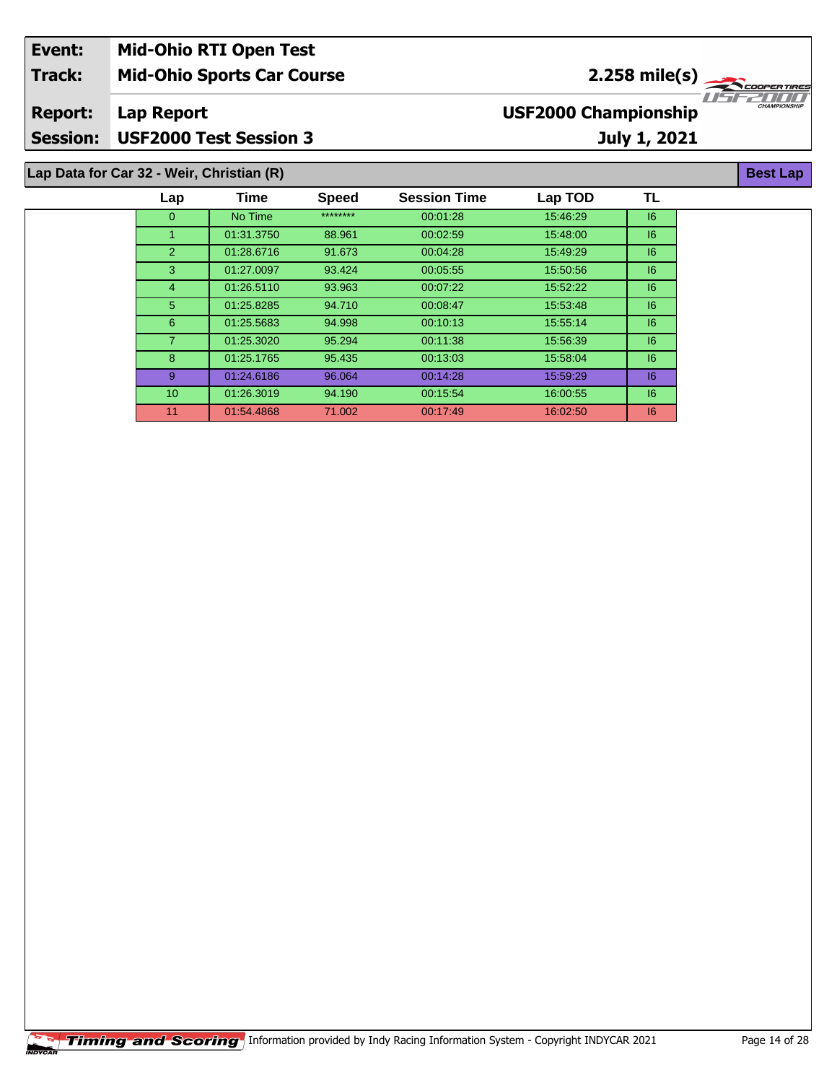| Event:          | <b>Mid-Ohio RTI Open Test</b>             |      |              |                     |                             |              |                                     |
|-----------------|-------------------------------------------|------|--------------|---------------------|-----------------------------|--------------|-------------------------------------|
| <b>Track:</b>   | <b>Mid-Ohio Sports Car Course</b>         |      |              |                     |                             |              | $2.258 \text{ mile(s)}$             |
| <b>Report:</b>  | Lap Report                                |      |              |                     | <b>USF2000 Championship</b> |              | 115152111111<br><b>CHAMPIONSHIP</b> |
| <b>Session:</b> | <b>USF2000 Test Session 3</b>             |      |              |                     |                             | July 1, 2021 |                                     |
|                 | Lap Data for Car 32 - Weir, Christian (R) |      |              |                     |                             |              | <b>Best Lap</b>                     |
|                 | Lap                                       | Time | <b>Speed</b> | <b>Session Time</b> | Lap TOD                     | ΤL           |                                     |

| ********<br>No Time<br>15:46:29<br> 6<br>$\overline{0}$<br>00:01:28<br>01:31.3750<br> 6 <br>88.961<br>00:02:59<br>15:48:00<br>2<br>01:28.6716<br> 6 <br>15:49:29<br>91.673<br>00:04:28<br>3<br>01:27.0097<br>16<br>93.424<br>00:05:55<br>15:50:56 |
|---------------------------------------------------------------------------------------------------------------------------------------------------------------------------------------------------------------------------------------------------|
|                                                                                                                                                                                                                                                   |
|                                                                                                                                                                                                                                                   |
|                                                                                                                                                                                                                                                   |
|                                                                                                                                                                                                                                                   |
| 01:26.5110<br> 6 <br>93.963<br>00:07:22<br>15:52:22<br>$\overline{4}$                                                                                                                                                                             |
| 5<br>01:25.8285<br> 6<br>00:08:47<br>15:53:48<br>94.710                                                                                                                                                                                           |
| 6<br>01:25.5683<br>94.998<br>00:10:13<br>15:55:14<br>16                                                                                                                                                                                           |
| 7<br>01:25.3020<br>95.294<br>00:11:38<br>15:56:39<br>16                                                                                                                                                                                           |
| 8<br>01:25.1765<br>95.435<br>00:13:03<br>15:58:04<br>16                                                                                                                                                                                           |
| 9<br>01:24.6186<br>96.064<br>00:14:28<br>15:59:29<br>16                                                                                                                                                                                           |
| 10 <sup>°</sup><br>01:26.3019<br> 6 <br>94.190<br>00:15:54<br>16:00:55                                                                                                                                                                            |
| 11<br>01:54.4868<br>71.002<br>00:17:49<br>16:02:50<br>16                                                                                                                                                                                          |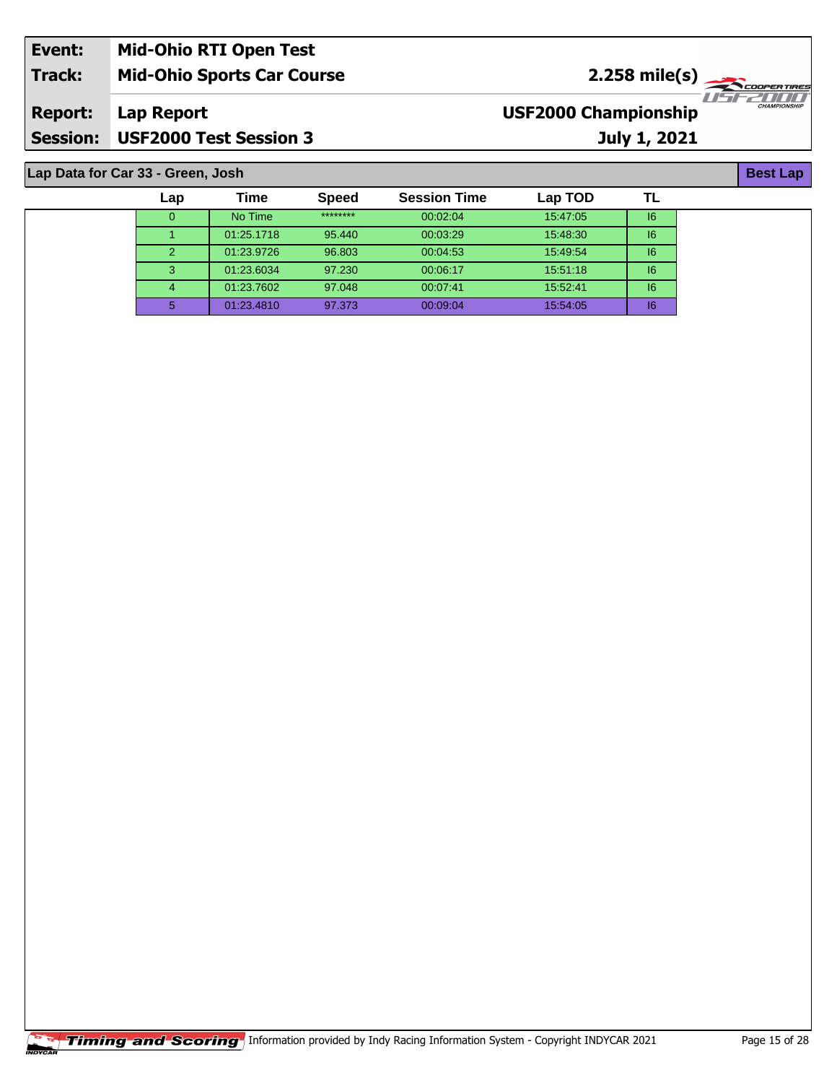| Event:          | <b>Mid-Ohio RTI Open Test</b>     |                                                                      |
|-----------------|-----------------------------------|----------------------------------------------------------------------|
| Track:          | <b>Mid-Ohio Sports Car Course</b> | $2.258$ mile(s)                                                      |
| <b>Report:</b>  | Lap Report                        | <i>HSE2HII</i><br><b>CHAMPIONSHIP</b><br><b>USF2000 Championship</b> |
| <b>Session:</b> | <b>USF2000 Test Session 3</b>     | <b>July 1, 2021</b>                                                  |

**Lap Data for Car 33 - Green, Josh**

| Lap | Time       | <b>Speed</b> | <b>Session Time</b> | Lap TOD  |    |  |
|-----|------------|--------------|---------------------|----------|----|--|
| 0   | No Time    | ********     | 00:02:04            | 15:47:05 | 6  |  |
|     | 01:25.1718 | 95.440       | 00:03:29            | 15:48:30 | 6  |  |
| 2   | 01:23.9726 | 96.803       | 00:04:53            | 15:49:54 | 6  |  |
| 3   | 01:23.6034 | 97.230       | 00:06:17            | 15:51:18 | 16 |  |
| 4   | 01:23.7602 | 97.048       | 00:07:41            | 15:52:41 | 16 |  |
| 5   | 01:23.4810 | 97.373       | 00:09:04            | 15:54:05 | 16 |  |

**Best Lap**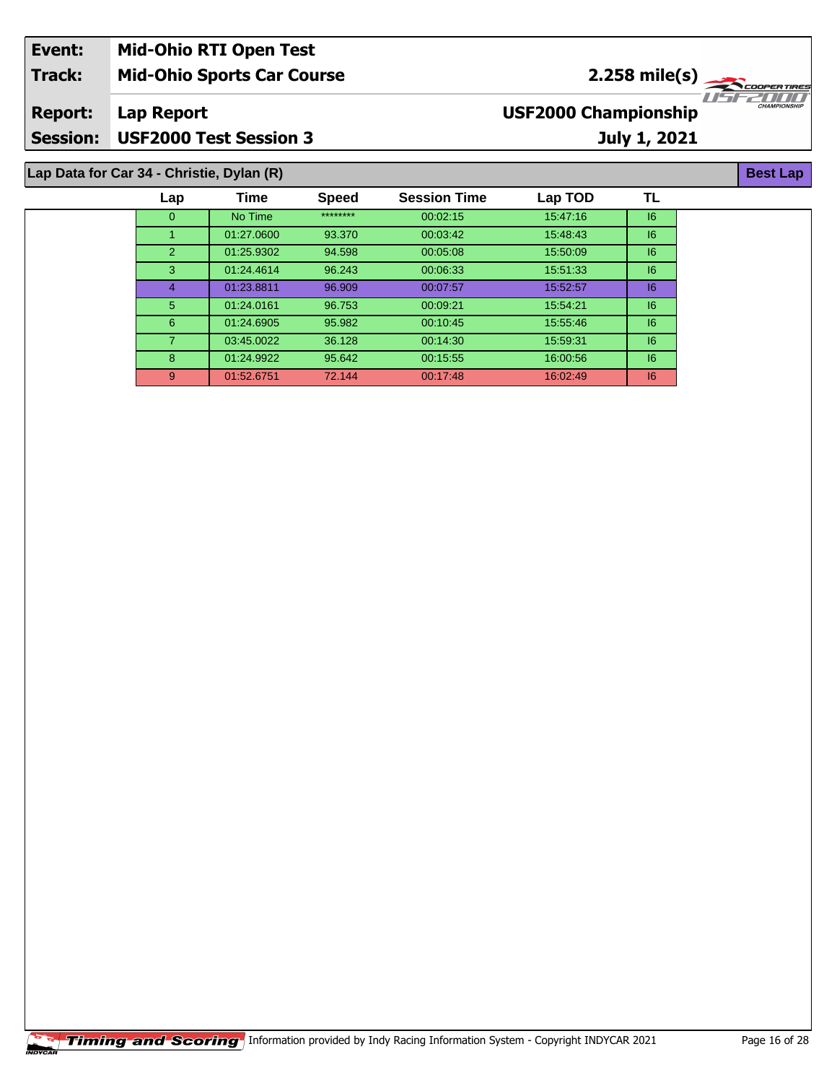| Event:          | <b>Mid-Ohio RTI Open Test</b>             |                                                    |  |
|-----------------|-------------------------------------------|----------------------------------------------------|--|
| Track:          | <b>Mid-Ohio Sports Car Course</b>         | $2.258$ mile(s)                                    |  |
| <b>Report:</b>  | Lap Report                                | <b>CHAMPIONSHII</b><br><b>USF2000 Championship</b> |  |
| <b>Session:</b> | USF2000 Test Session 3                    | July 1, 2021                                       |  |
|                 | Lap Data for Car 34 - Christie, Dylan (R) | <b>Best Lap</b>                                    |  |

| Lap            | Time       | Speed    | <b>Session Time</b> | Lap TOD  | TL |
|----------------|------------|----------|---------------------|----------|----|
| $\overline{0}$ | No Time    | ******** | 00:02:15            | 15:47:16 | 6  |
|                | 01:27.0600 | 93.370   | 00:03:42            | 15:48:43 | 6  |
| $\overline{2}$ | 01:25.9302 | 94.598   | 00:05:08            | 15:50:09 | 6  |
| 3              | 01:24.4614 | 96.243   | 00:06:33            | 15:51:33 | 16 |
| 4              | 01:23.8811 | 96.909   | 00:07:57            | 15:52:57 | 6  |
| 5              | 01:24.0161 | 96.753   | 00:09:21            | 15:54:21 | 6  |
| 6              | 01:24.6905 | 95.982   | 00:10:45            | 15.55.46 | 6  |
| $\overline{7}$ | 03:45.0022 | 36.128   | 00:14:30            | 15:59:31 | 6  |
| 8              | 01:24.9922 | 95.642   | 00:15:55            | 16:00:56 | 6  |
| 9              | 01:52.6751 | 72.144   | 00:17:48            | 16:02:49 | 6  |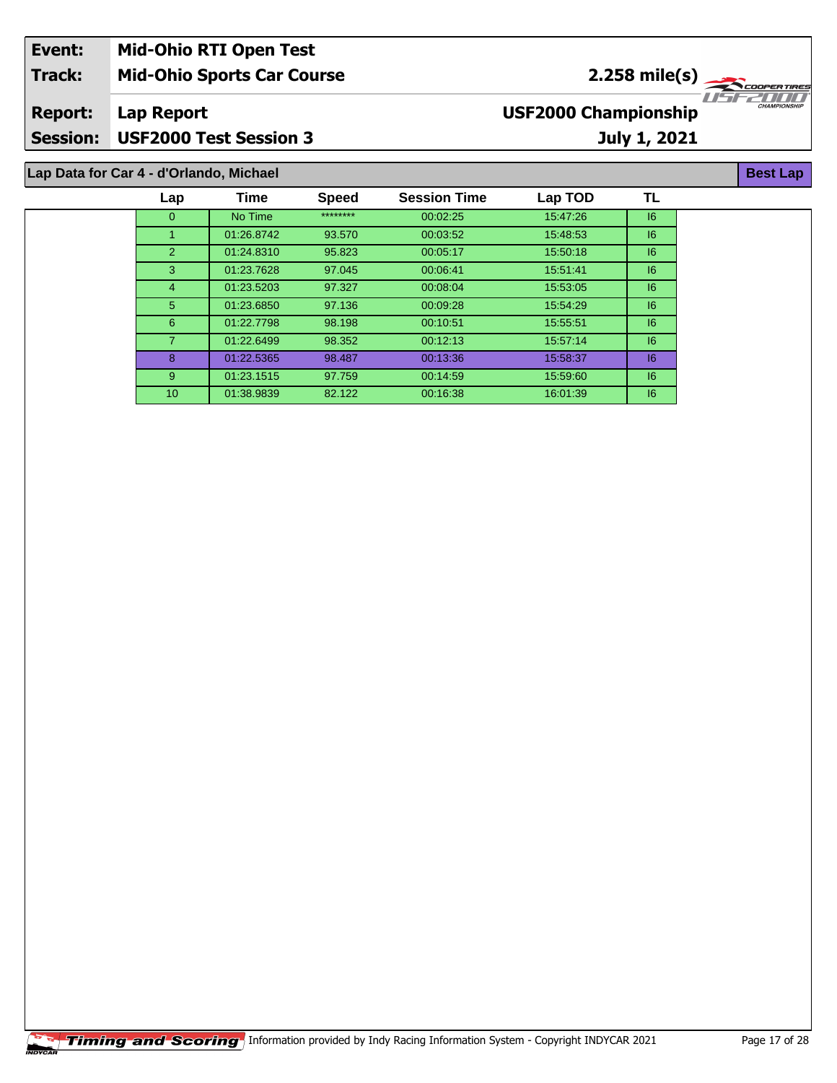| Event:         | <b>Mid-Ohio RTI Open Test</b>           |                                                    |
|----------------|-----------------------------------------|----------------------------------------------------|
| <b>Track:</b>  | <b>Mid-Ohio Sports Car Course</b>       | $2.258$ mile(s) $\frac{1}{2.258}$                  |
| <b>Report:</b> | Lap Report                              | <b>CHAMPIONSHIP</b><br><b>USF2000 Championship</b> |
|                | Session: USF2000 Test Session 3         | <b>July 1, 2021</b>                                |
|                | Lap Data for Car 4 - d'Orlando, Michael | <b>Best Lap</b>                                    |

| Lap            | Time       | <b>Speed</b> | <b>Session Time</b> | Lap TOD  | ΤL |
|----------------|------------|--------------|---------------------|----------|----|
| $\Omega$       | No Time    | ********     | 00:02:25            | 15:47:26 | 6  |
|                | 01:26.8742 | 93.570       | 00:03:52            | 15:48:53 | 6  |
| 2              | 01:24.8310 | 95.823       | 00:05:17            | 15:50:18 | 6  |
| 3              | 01:23.7628 | 97.045       | 00:06:41            | 15:51:41 | 6  |
| $\overline{4}$ | 01:23.5203 | 97.327       | 00:08:04            | 15:53:05 | 6  |
| 5 <sup>5</sup> | 01:23.6850 | 97.136       | 00:09:28            | 15:54:29 | 6  |
| 6              | 01:22.7798 | 98.198       | 00:10:51            | 15.55.51 | 16 |
|                | 01:22.6499 | 98.352       | 00:12:13            | 15.57.14 | 6  |
| 8              | 01:22.5365 | 98.487       | 00:13:36            | 15:58:37 | 6  |
| 9              | 01:23.1515 | 97.759       | 00:14:59            | 15:59:60 | 6  |
| 10             | 01:38.9839 | 82.122       | 00:16:38            | 16:01:39 | 6  |
|                |            |              |                     |          |    |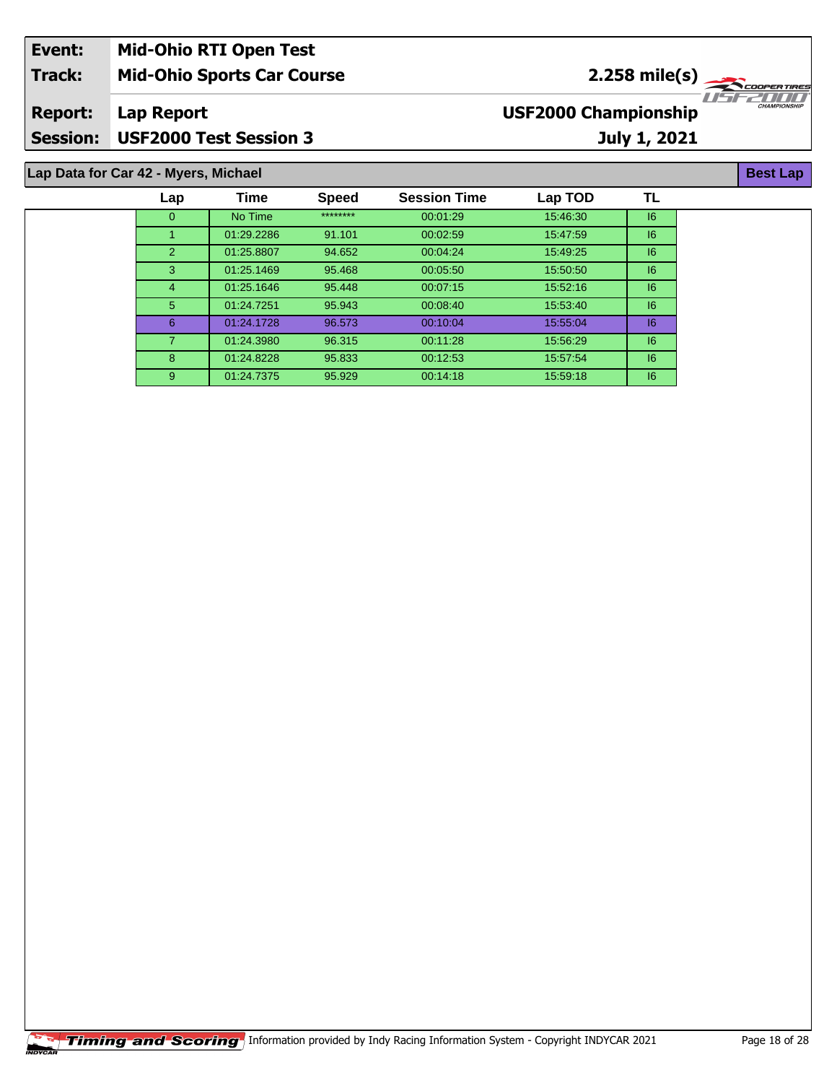| Event:          | <b>Mid-Ohio RTI Open Test</b>        |                             |                     |
|-----------------|--------------------------------------|-----------------------------|---------------------|
| <b>Track:</b>   | <b>Mid-Ohio Sports Car Course</b>    | $2.258 \text{ mile(s)}$     |                     |
| <b>Report:</b>  | Lap Report                           | <b>USF2000 Championship</b> | <b>CHAMPIONSHIP</b> |
| <b>Session:</b> | <b>USF2000 Test Session 3</b>        | <b>July 1, 2021</b>         |                     |
|                 |                                      |                             |                     |
|                 | Lap Data for Car 42 - Myers, Michael |                             | <b>Best Lap</b>     |

| Lap      | Time       | <b>Speed</b> | <b>Session Time</b> | Lap TOD  | TL |
|----------|------------|--------------|---------------------|----------|----|
| $\Omega$ | No Time    | ********     | 00:01:29            | 15:46:30 | 6  |
|          | 01:29.2286 | 91.101       | 00:02:59            | 15:47:59 | 6  |
| 2        | 01:25.8807 | 94.652       | 00:04:24            | 15:49:25 | 6  |
| 3        | 01:25.1469 | 95.468       | 00:05:50            | 15:50:50 | 6  |
| 4        | 01:25.1646 | 95.448       | 00:07:15            | 15:52:16 | 16 |
| 5        | 01:24.7251 | 95.943       | 00:08:40            | 15.53.40 | 6  |
| 6        | 01:24.1728 | 96.573       | 00:10:04            | 15:55:04 | 6  |
| 7        | 01:24.3980 | 96.315       | 00:11:28            | 15:56:29 | 6  |
| 8        | 01:24.8228 | 95.833       | 00:12:53            | 15:57:54 | 6  |
| 9        | 01:24.7375 | 95.929       | 00:14:18            | 15:59:18 | 6  |
|          |            |              |                     |          |    |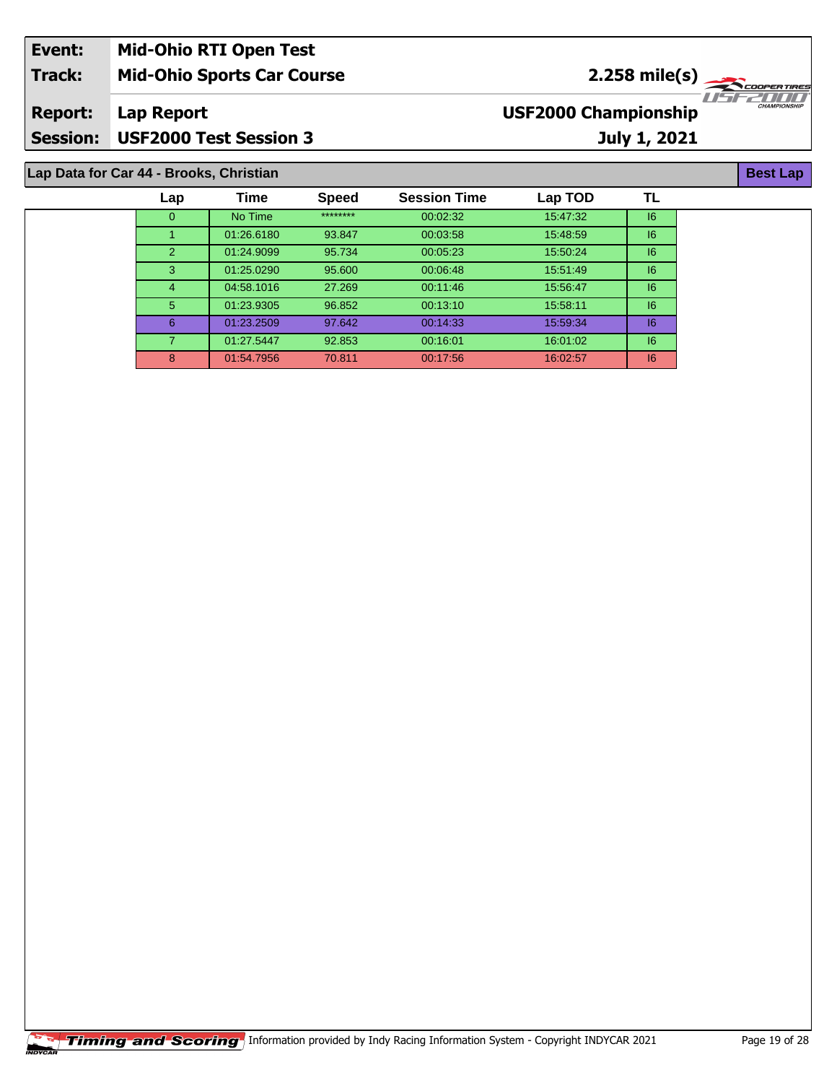| Event:         | <b>Mid-Ohio RTI Open Test</b>           |                             |                                 |  |  |
|----------------|-----------------------------------------|-----------------------------|---------------------------------|--|--|
| <b>Track:</b>  | <b>Mid-Ohio Sports Car Course</b>       | $2.258 \text{ mile(s)}$     |                                 |  |  |
| <b>Report:</b> | Lap Report                              | <b>USF2000 Championship</b> | 70572000<br><b>CHAMPIONSHIP</b> |  |  |
|                | Session: USF2000 Test Session 3         | July 1, 2021                |                                 |  |  |
|                |                                         |                             |                                 |  |  |
|                | Lap Data for Car 44 - Brooks, Christian |                             |                                 |  |  |

| Lap           | Time       | <b>Speed</b> | <b>Session Time</b> | Lap TOD  | TL |  |
|---------------|------------|--------------|---------------------|----------|----|--|
| 0             | No Time    | ********     | 00:02:32            | 15:47:32 | 6  |  |
|               | 01:26.6180 | 93.847       | 00:03:58            | 15:48:59 | 6  |  |
| $\mathcal{P}$ | 01:24.9099 | 95.734       | 00:05:23            | 15:50:24 | 16 |  |
| $\mathbf{3}$  | 01:25.0290 | 95.600       | 00:06:48            | 15:51:49 | 6  |  |
| 4             | 04:58.1016 | 27.269       | 00:11:46            | 15:56:47 | 6  |  |
| $5^{\circ}$   | 01:23.9305 | 96.852       | 00:13:10            | 15:58:11 | 16 |  |
| 6             | 01:23.2509 | 97.642       | 00:14:33            | 15:59:34 | 16 |  |
| 7             | 01:27.5447 | 92.853       | 00:16:01            | 16:01:02 | 6  |  |
| 8             | 01:54.7956 | 70.811       | 00:17:56            | 16:02:57 | 6  |  |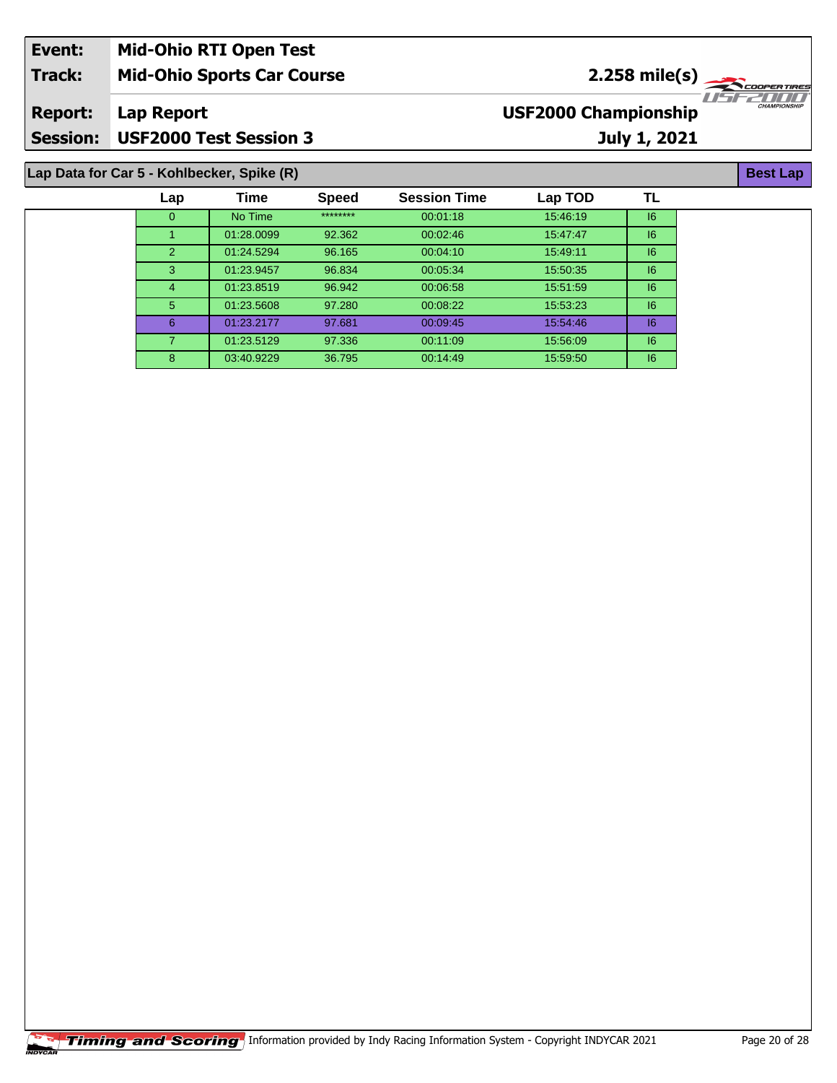| Event:                                     | <b>Mid-Ohio RTI Open Test</b>     |                                                                      |  |  |  |  |
|--------------------------------------------|-----------------------------------|----------------------------------------------------------------------|--|--|--|--|
| <b>Track:</b>                              | <b>Mid-Ohio Sports Car Course</b> | $2.258 \text{ mile(s)}$                                              |  |  |  |  |
| <b>Report:</b>                             | Lap Report                        | 1151 - 211 111<br><b>CHAMPIONSHIP</b><br><b>USF2000 Championship</b> |  |  |  |  |
| <b>Session:</b>                            | <b>USF2000 Test Session 3</b>     | July 1, 2021                                                         |  |  |  |  |
| Lap Data for Car 5 - Kohlbecker, Spike (R) |                                   |                                                                      |  |  |  |  |

| Lap          | Time       | <b>Speed</b> | <b>Session Time</b> | Lap TOD  | TL |
|--------------|------------|--------------|---------------------|----------|----|
| $\mathbf{0}$ | No Time    | ********     | 00:01:18            | 15:46:19 | 6  |
|              | 01:28.0099 | 92.362       | 00:02:46            | 15:47:47 | 6  |
| 2            | 01:24.5294 | 96.165       | 00:04:10            | 15:49:11 | 6  |
| 3            | 01:23.9457 | 96.834       | 00:05:34            | 15:50:35 | 6  |
| 4            | 01:23.8519 | 96.942       | 00:06:58            | 15:51:59 | 16 |
| 5            | 01:23.5608 | 97.280       | 00:08:22            | 15:53:23 | 6  |
| 6            | 01:23.2177 | 97.681       | 00:09:45            | 15:54:46 | 6  |
| 7            | 01:23.5129 | 97.336       | 00:11:09            | 15:56:09 | 16 |
| 8            | 03:40.9229 | 36.795       | 00:14:49            | 15:59:50 | 6  |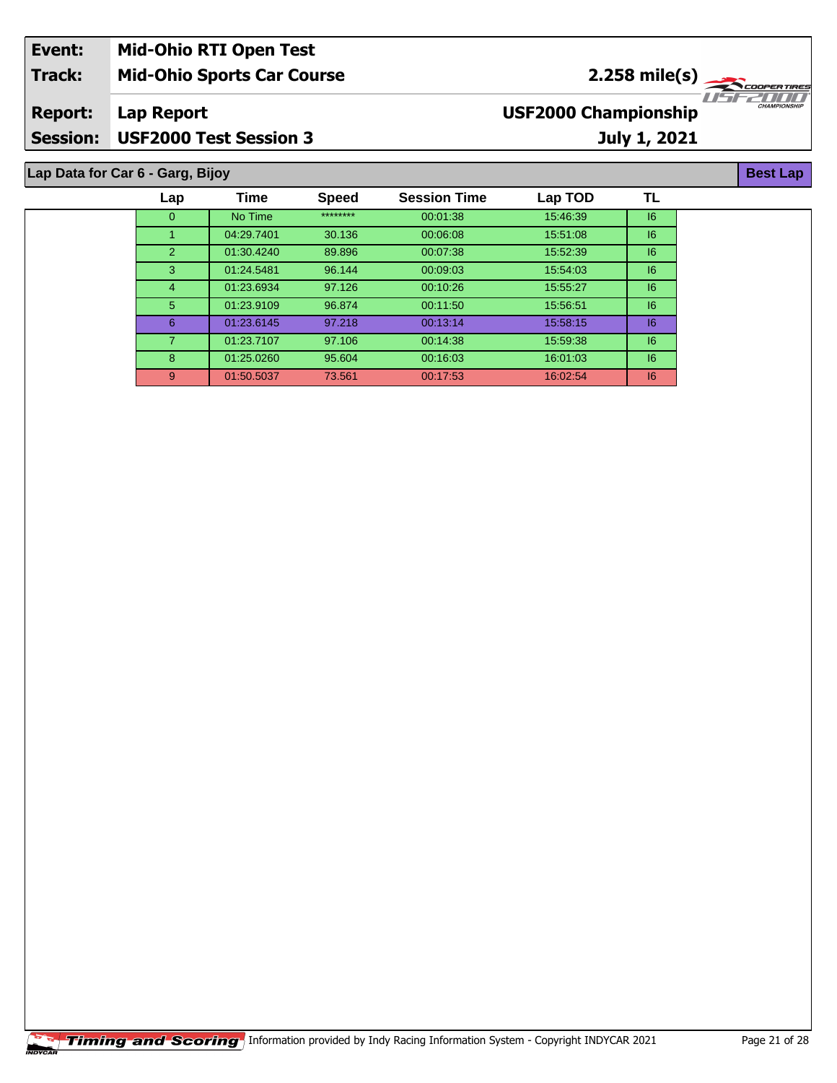| Event:          | <b>Mid-Ohio RTI Open Test</b>     |                             |                     |  |  |  |
|-----------------|-----------------------------------|-----------------------------|---------------------|--|--|--|
| <b>Track:</b>   | <b>Mid-Ohio Sports Car Course</b> | $2.258 \text{ mile(s)}$     |                     |  |  |  |
| <b>Report:</b>  | Lap Report                        | <b>USF2000 Championship</b> | <b>CHAMPIONSHIP</b> |  |  |  |
| <b>Session:</b> | <b>USF2000 Test Session 3</b>     | <b>July 1, 2021</b>         |                     |  |  |  |
|                 |                                   |                             |                     |  |  |  |
|                 | Lap Data for Car 6 - Garg, Bijoy  |                             |                     |  |  |  |

**TL**

9 01:50.5037 73.561 00:17:53 16:02:54 I6

| ta for Car 6 - Garg, Bijoy |            |              |                     |          |    |
|----------------------------|------------|--------------|---------------------|----------|----|
| Lap                        | Time       | <b>Speed</b> | <b>Session Time</b> | Lap TOD  | TL |
| 0                          | No Time    | ********     | 00:01:38            | 15:46:39 | 6  |
|                            | 04:29.7401 | 30.136       | 00:06:08            | 15.51.08 | 6  |
| $\mathbf{2}$               | 01:30.4240 | 89.896       | 00:07:38            | 15.52.39 | 6  |
| 3                          | 01:24.5481 | 96.144       | 00:09:03            | 15:54:03 | 6  |
| $\overline{4}$             | 01:23.6934 | 97.126       | 00:10:26            | 15:55:27 | 6  |
| 5                          | 01:23.9109 | 96.874       | 00:11:50            | 15:56:51 | 6  |
| 6                          | 01:23.6145 | 97.218       | 00:13:14            | 15:58:15 | 6  |
| 7                          | 01:23.7107 | 97.106       | 00:14:38            | 15:59:38 | 6  |
| 8                          | 01:25.0260 | 95.604       | 00:16:03            | 16:01:03 | 6  |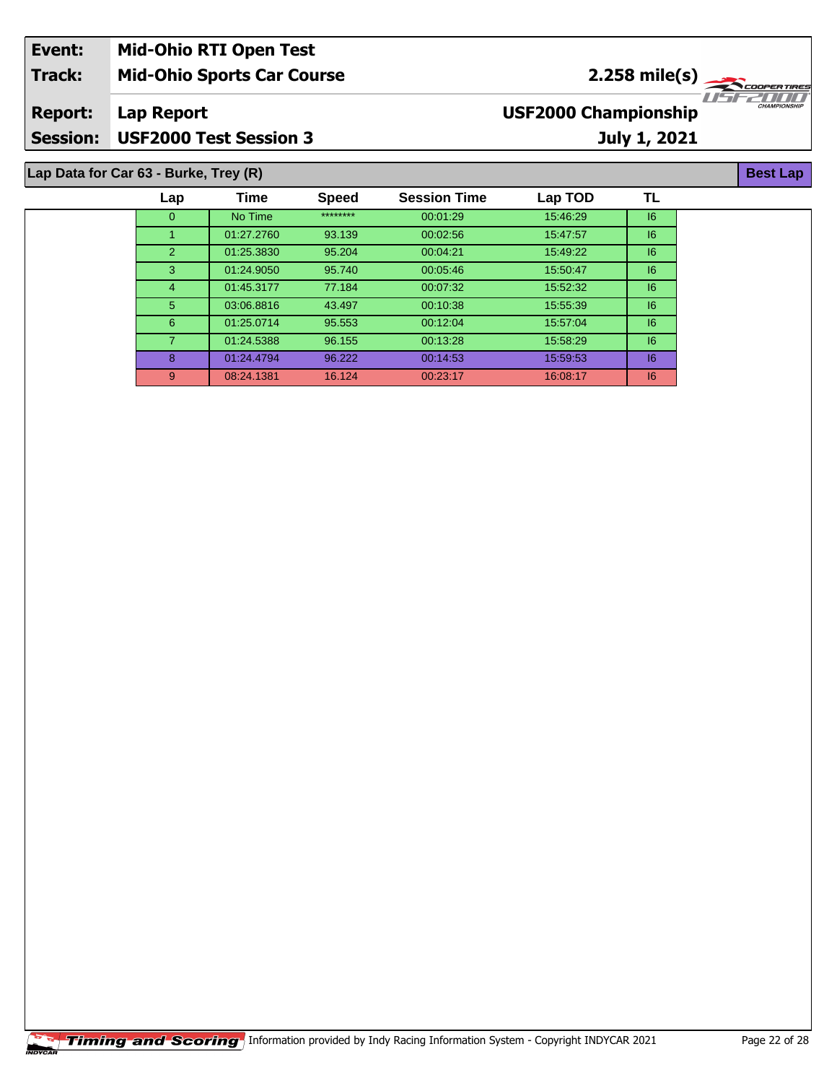| Event:                                | <b>Mid-Ohio RTI Open Test</b>     |                             |                                                                                                                                                                                                                                                                                                                     |  |  |  |
|---------------------------------------|-----------------------------------|-----------------------------|---------------------------------------------------------------------------------------------------------------------------------------------------------------------------------------------------------------------------------------------------------------------------------------------------------------------|--|--|--|
| <b>Track:</b>                         | <b>Mid-Ohio Sports Car Course</b> | $2.258 \text{ mile(s)}$     |                                                                                                                                                                                                                                                                                                                     |  |  |  |
| <b>Report:</b>                        | Lap Report                        | <b>USF2000 Championship</b> | $\frac{1}{1}$ $\frac{1}{1}$ $\frac{1}{1}$ $\frac{1}{1}$ $\frac{1}{1}$ $\frac{1}{1}$ $\frac{1}{1}$ $\frac{1}{1}$ $\frac{1}{1}$ $\frac{1}{1}$ $\frac{1}{1}$ $\frac{1}{1}$ $\frac{1}{1}$ $\frac{1}{1}$ $\frac{1}{1}$ $\frac{1}{1}$ $\frac{1}{1}$ $\frac{1}{1}$ $\frac{1}{1}$ $\frac{1}{1}$ $\frac{1}{1}$ $\frac{1}{1}$ |  |  |  |
| <b>Session:</b>                       | USF2000 Test Session 3            | <b>July 1, 2021</b>         |                                                                                                                                                                                                                                                                                                                     |  |  |  |
| Lap Data for Car 63 - Burke, Trey (R) |                                   |                             |                                                                                                                                                                                                                                                                                                                     |  |  |  |

| Time       | <b>Speed</b> | <b>Session Time</b> | Lap TOD  | ΤL |
|------------|--------------|---------------------|----------|----|
| No Time    | ********     | 00:01:29            | 15:46:29 | 16 |
| 01:27.2760 | 93.139       | 00:02:56            | 15:47:57 | 6  |
| 01:25.3830 | 95.204       | 00:04:21            | 15:49:22 | 16 |
| 01:24.9050 | 95.740       | 00:05:46            | 15:50:47 | 16 |
| 01:45.3177 | 77.184       | 00:07:32            | 15:52:32 | 6  |
| 03:06.8816 | 43.497       | 00:10:38            | 15.55.39 | 6  |
| 01:25.0714 | 95.553       | 00:12:04            | 15:57:04 | 16 |
| 01:24.5388 | 96.155       | 00:13:28            | 15:58:29 | 16 |
| 01:24.4794 | 96.222       | 00:14:53            | 15:59:53 | 16 |
| 08:24.1381 | 16.124       | 00:23:17            | 16:08:17 | 16 |
|            |              |                     |          |    |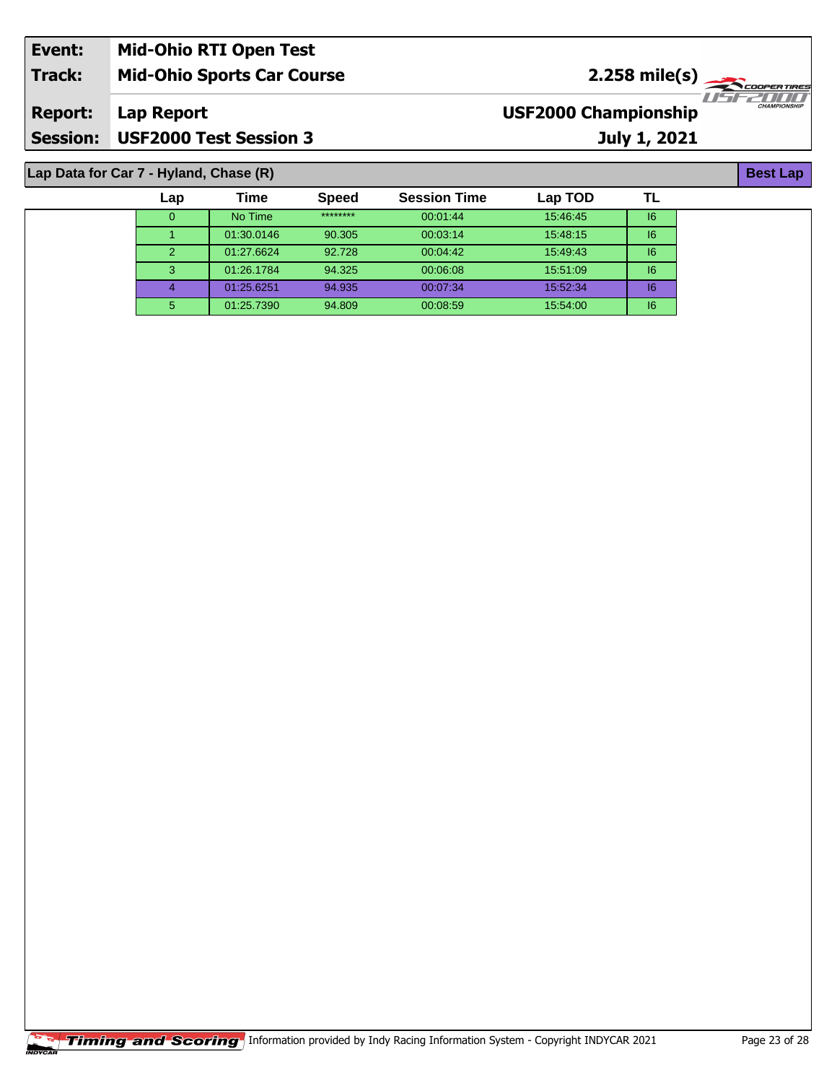| Event:         | <b>Mid-Ohio RTI Open Test</b>          |                             |                                                                                                                                                                                                                                                      |  |  |  |
|----------------|----------------------------------------|-----------------------------|------------------------------------------------------------------------------------------------------------------------------------------------------------------------------------------------------------------------------------------------------|--|--|--|
| <b>Track:</b>  | <b>Mid-Ohio Sports Car Course</b>      | $2.258 \text{ mile(s)}$     |                                                                                                                                                                                                                                                      |  |  |  |
| <b>Report:</b> | Lap Report                             | <b>USF2000 Championship</b> | $T$ , $T$ , $T$ , $T$ , $T$ , $T$ , $T$ , $T$ , $T$ , $T$ , $T$ , $T$ , $T$ , $T$ , $T$ , $T$ , $T$ , $T$ , $T$ , $T$ , $T$ , $T$ , $T$ , $T$ , $T$ , $T$ , $T$ , $T$ , $T$ , $T$ , $T$ , $T$ , $T$ , $T$ , $T$ , $T$ , $T$ ,<br><b>CHAMPIONSHIP</b> |  |  |  |
|                | Session: USF2000 Test Session 3        | <b>July 1, 2021</b>         |                                                                                                                                                                                                                                                      |  |  |  |
|                |                                        |                             | <b>Best Lap</b>                                                                                                                                                                                                                                      |  |  |  |
|                | Lap Data for Car 7 - Hyland, Chase (R) |                             |                                                                                                                                                                                                                                                      |  |  |  |

## **Lap Data for Car 7 - Hyland, Chase (R)**

| Lap           | Time       | <b>Speed</b> | <b>Session Time</b> | Lap TOD  | ΤL |
|---------------|------------|--------------|---------------------|----------|----|
| 0             | No Time    | ********     | 00:01:44            | 15:46:45 | 16 |
|               | 01:30.0146 | 90.305       | 00:03:14            | 15:48:15 | 16 |
| $\mathcal{P}$ | 01:27.6624 | 92.728       | 00:04:42            | 15:49:43 | 16 |
| 3             | 01:26.1784 | 94.325       | 00:06:08            | 15:51:09 | 6  |
|               | 01:25.6251 | 94.935       | 00:07:34            | 15:52:34 | 6  |
| 5             | 01:25.7390 | 94.809       | 00:08:59            | 15:54:00 | 16 |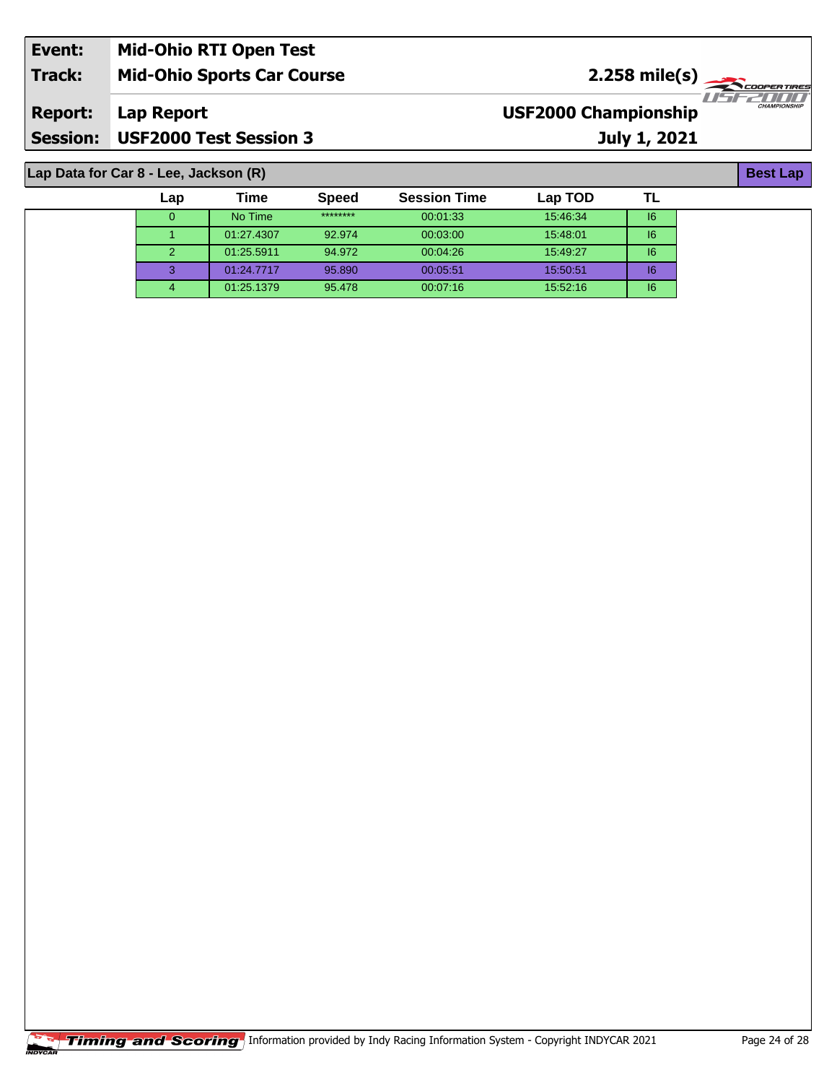| Event:          | <b>Mid-Ohio RTI Open Test</b>     |                                                    |
|-----------------|-----------------------------------|----------------------------------------------------|
| Track:          | <b>Mid-Ohio Sports Car Course</b> | $2.258$ mile(s)                                    |
| <b>Report:</b>  | Lap Report                        | <b>CHAMPIONSHIP</b><br><b>USF2000 Championship</b> |
| <b>Session:</b> | <b>USF2000 Test Session 3</b>     | July 1, 2021                                       |

**Lap Data for Car 8 - Lee, Jackson (R)**

| Lap | Time       | <b>Speed</b> | <b>Session Time</b> | Lap TOD  |    |
|-----|------------|--------------|---------------------|----------|----|
|     | No Time    | ********     | 00:01:33            | 15:46:34 | 16 |
|     | 01:27.4307 | 92.974       | 00:03:00            | 15:48:01 | 16 |
|     | 01:25.5911 | 94.972       | 00:04:26            | 15:49:27 | 16 |
| 3   | 01:24.7717 | 95.890       | 00:05:51            | 15:50:51 | 16 |
|     | 01:25.1379 | 95.478       | 00:07:16            | 15:52:16 | 16 |

**Best Lap**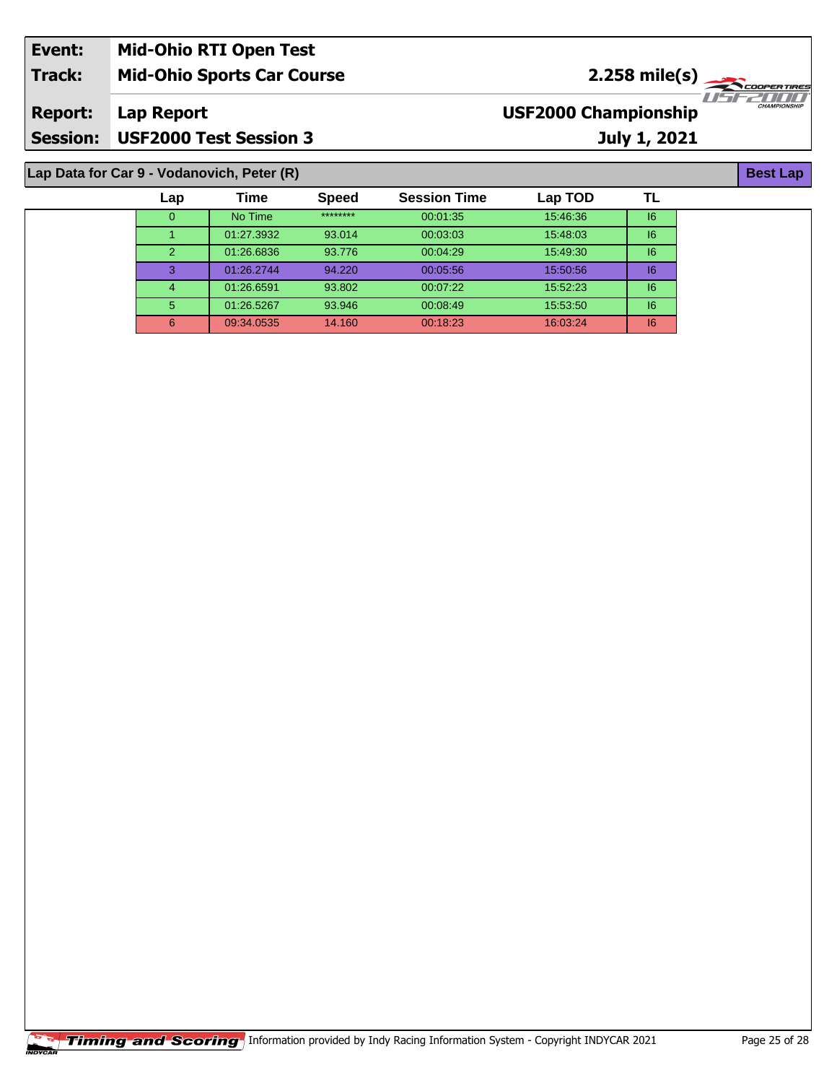| Event:         | <b>Mid-Ohio RTI Open Test</b>              |                                                                          |  |
|----------------|--------------------------------------------|--------------------------------------------------------------------------|--|
| <b>Track:</b>  | <b>Mid-Ohio Sports Car Course</b>          | $2.258 \text{ mile(s)}$                                                  |  |
| <b>Report:</b> | Lap Report                                 | <i>IISEZIII</i> II<br><b>CHAMPIONSHIP</b><br><b>USF2000 Championship</b> |  |
|                | Session: USF2000 Test Session 3            | <b>July 1, 2021</b>                                                      |  |
|                | Lap Data for Car 9 - Vodanovich, Peter (R) | <b>Best Lap</b>                                                          |  |

| Lap            | Time       | <b>Speed</b> | <b>Session Time</b> | Lap TOD  |    |  |
|----------------|------------|--------------|---------------------|----------|----|--|
| 0              | No Time    | ********     | 00:01:35            | 15:46:36 | 16 |  |
|                | 01:27.3932 | 93.014       | 00:03:03            | 15:48:03 | 6  |  |
| $\overline{2}$ | 01:26.6836 | 93.776       | 00:04:29            | 15:49:30 | 6  |  |
| 3              | 01:26.2744 | 94.220       | 00:05:56            | 15:50:56 | 6  |  |
| 4              | 01:26.6591 | 93.802       | 00:07:22            | 15:52:23 | 6  |  |
| 5              | 01:26.5267 | 93.946       | 00:08:49            | 15:53:50 | 6  |  |
| 6              | 09:34.0535 | 14.160       | 00:18:23            | 16:03:24 | 6  |  |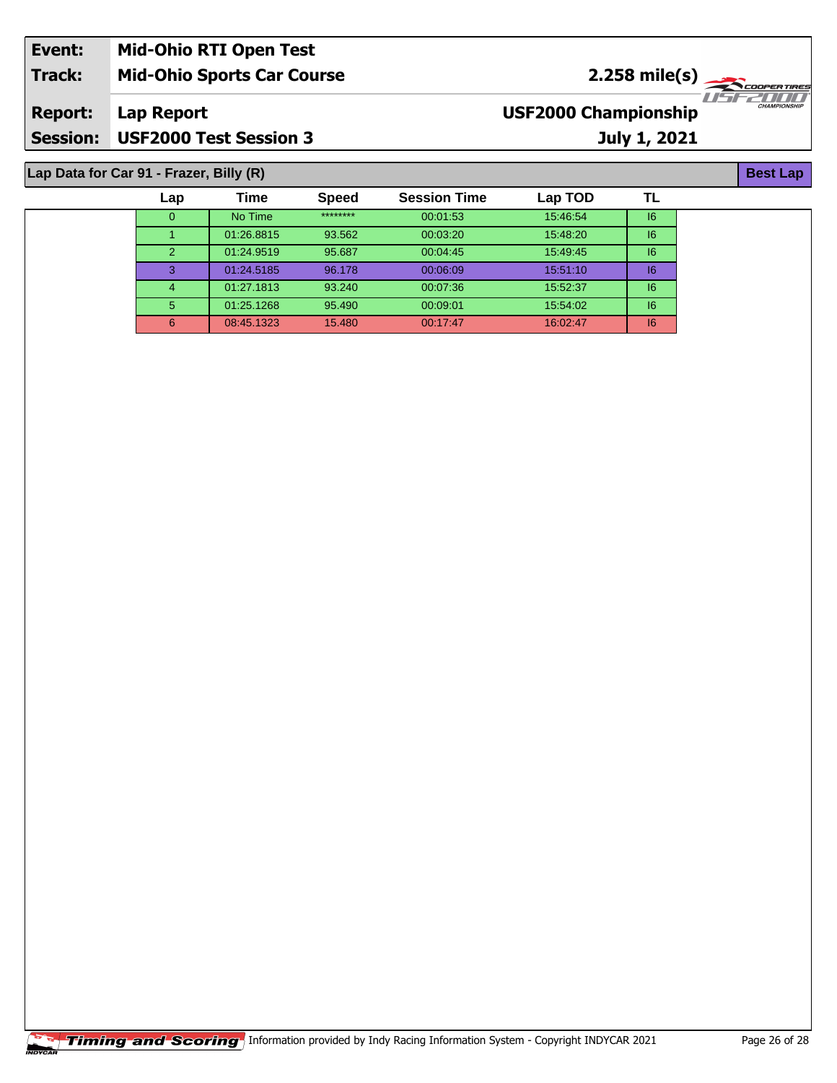| Event:         | <b>Mid-Ohio RTI Open Test</b>           |                             |                     |
|----------------|-----------------------------------------|-----------------------------|---------------------|
| Track:         | <b>Mid-Ohio Sports Car Course</b>       | $2.258 \text{ mile(s)}$     |                     |
| <b>Report:</b> | Lap Report                              | <b>USF2000 Championship</b> | <b>CHAMPIONSHIP</b> |
|                | Session: USF2000 Test Session 3         | July 1, 2021                |                     |
|                | Lap Data for Car 91 - Frazer, Billy (R) |                             | <b>Best Lap</b>     |

| Lap | Time       | <b>Speed</b> | <b>Session Time</b> | Lap TOD  | TL |
|-----|------------|--------------|---------------------|----------|----|
| O   | No Time    | ********     | 00:01:53            | 15:46:54 | 16 |
|     | 01:26.8815 | 93.562       | 00:03:20            | 15:48:20 | 6  |
| 2   | 01:24.9519 | 95.687       | 00:04:45            | 15:49:45 | 6  |
| 3   | 01:24.5185 | 96.178       | 00:06:09            | 15:51:10 | 6  |
| 4   | 01:27.1813 | 93.240       | 00:07:36            | 15:52:37 | 16 |
| 5   | 01:25.1268 | 95.490       | 00:09:01            | 15:54:02 | 6  |
|     | 08:45.1323 | 15.480       | 00:17:47            | 16:02:47 | 16 |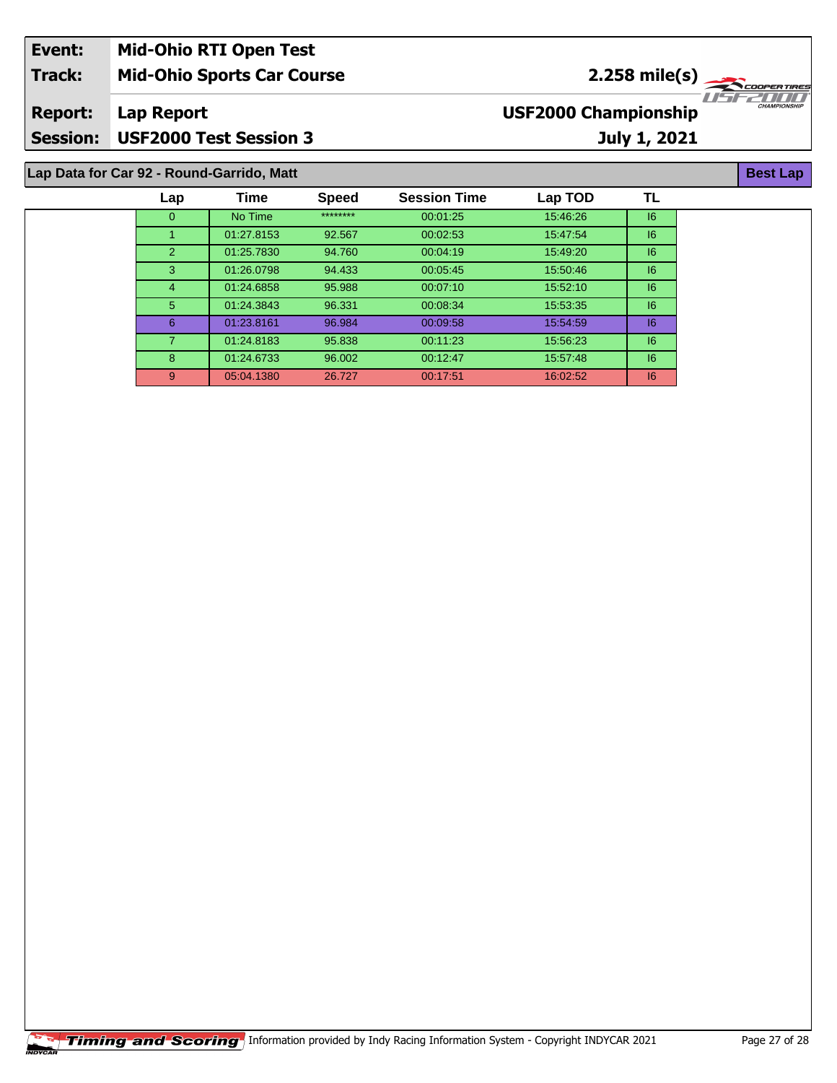| Event:          | <b>Mid-Ohio RTI Open Test</b>             |                                                                         |
|-----------------|-------------------------------------------|-------------------------------------------------------------------------|
| Track:          | <b>Mid-Ohio Sports Car Course</b>         | $2.258$ mile(s)                                                         |
| <b>Report:</b>  | Lap Report                                | 1151 221 11 11 11<br><b>CHAMPIONSHII</b><br><b>USF2000 Championship</b> |
| <b>Session:</b> | <b>USF2000 Test Session 3</b>             | July 1, 2021                                                            |
|                 | Lap Data for Car 92 - Round-Garrido, Matt | <b>Best Lap</b>                                                         |

| Lap            | Time       | <b>Speed</b> | <b>Session Time</b> | Lap TOD  | TL |
|----------------|------------|--------------|---------------------|----------|----|
| 0              | No Time    | ********     | 00:01:25            | 15:46:26 | 6  |
|                | 01:27.8153 | 92.567       | 00:02:53            | 15:47:54 | 6  |
| 2              | 01:25.7830 | 94.760       | 00:04:19            | 15:49:20 | 6  |
| 3              | 01:26.0798 | 94.433       | 00:05:45            | 15:50:46 | 6  |
| 4              | 01:24.6858 | 95.988       | 00:07:10            | 15:52:10 | 6  |
| 5              | 01:24.3843 | 96.331       | 00:08:34            | 15:53:35 | 16 |
| 6              | 01:23.8161 | 96.984       | 00:09:58            | 15:54:59 | 6  |
| $\overline{7}$ | 01:24.8183 | 95.838       | 00:11:23            | 15:56:23 | 6  |
| 8              | 01:24.6733 | 96.002       | 00:12:47            | 15:57:48 | 6  |
| 9              | 05:04.1380 | 26.727       | 00:17:51            | 16:02:52 | 6  |